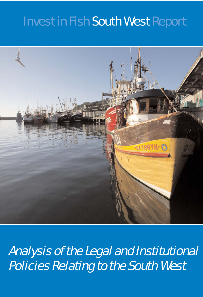# Invest in Fish South West Report



Analysis of the Legal and Institutional Policies Relating to the South West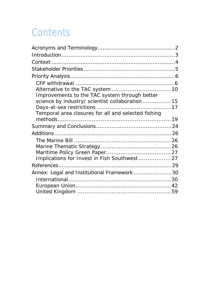# **Contents**

| Improvements to the TAC system through better       |  |
|-----------------------------------------------------|--|
| science by industry/ scientist collaboration 15     |  |
|                                                     |  |
| Temporal area closures for all and selected fishing |  |
|                                                     |  |
|                                                     |  |
|                                                     |  |
|                                                     |  |
|                                                     |  |
|                                                     |  |
| Implications for Invest in Fish Southwest 27        |  |
|                                                     |  |
| Annex: Legal and Institutional Framework  30        |  |
|                                                     |  |
|                                                     |  |
|                                                     |  |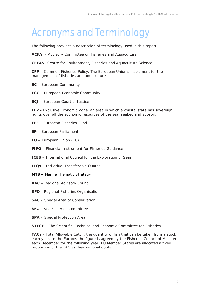# <span id="page-2-0"></span>Acronyms and Terminology

The following provides a description of terminology used in this report.

**ACFA** – Advisory Committee on Fisheries and Aquaculture

**CEFAS**- Centre for Environment, Fisheries and Aquaculture Science

**CFP** – Common Fisheries Policy, The European Union's instrument for the management of fisheries and aquaculture

- **EC** European Community
- **ECC** European Economic Community
- **ECJ** European Court of Justice

**EEZ -** Exclusive Economic Zone, an area in which a coastal state has sovereign rights over all the economic resources of the sea, seabed and subsoil.

- **EFF** European Fisheries Fund
- **EP** European Parliament
- **EU** European Union (EU)
- **FIFG** Financial Instrument for Fisheries Guidance
- **ICES** International Council for the Exploration of Seas
- **ITQs** Individual Transferable Quotas
- **MTS** Marine Thematic Strategy
- **RAC** Regional Advisory Council
- **RFO** Regional Fisheries Organisation
- **SAC** Special Area of Conservation
- **SFC** Sea Fisheries Committee
- **SPA** Special Protection Area
- **STECF** The Scientific, Technical and Economic Committee for Fisheries

**TACs** - Total Allowable Catch, the quantity of fish that can be taken from a stock each year. In the Europe, the figure is agreed by the Fisheries Council of Ministers each December for the following year. EU Member States are allocated a fixed proportion of the TAC as their national quota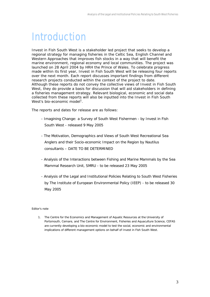### <span id="page-3-0"></span>**Introduction**

Invest in Fish South West is a stakeholder led project that seeks to develop a regional strategy for managing fisheries in the Celtic Sea, English Channel and Western Approaches that improves fish stocks in a way that will benefit the marine environment, regional economy and local communities. The project was launched on 28 April 2004 by HRH the Prince of Wales. To celebrate progress made within its first year, Invest in Fish South West will be releasing four reports over the next month. Each report discusses important findings from different research projects conducted within the context of the project to date. Although these reports do not convey the collective views of Invest in Fish South West, they do provide a basis for discussion that will aid stakeholders in defining a fisheries management strategy. Relevant biological, economic and social data collected from these reports will also be inputted into the Invest in Fish South West's bio-economic model<sup>1</sup>.

The reports and dates for release are as follows:

- *Imagining Change: a Survey of South West Fishermen* by Invest in Fish South West - released 9 May 2005
- The *Motivation, Demographics and Views of South West Recreational Sea Anglers and their Socio-economic Impact on the Region* by Nautilus consultants – DATE TO BE DETERMINED
- *Analysis of the Interactions between Fishing and Marine Mammals* by the Sea Mammal Research Unit, SMRU - to be released 23 May 2005
- *Analysis of the Legal and Institutional Policies Relating to South West Fisheries* by The Institute of European Environmental Policy (IEEP) - to be released 30 May 2005

#### Editor's note

1. The Centre for the Economics and Management of Aquatic Resources at the University of Portsmouth, Cemare, and The Centre for Environment, Fisheries and Aquaculture Science, CEFAS are currently developing a bio-economic model to test the social, economic and environmental implications of different management options on behalf of Invest in Fish South West.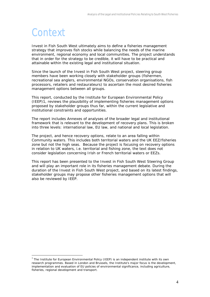### <span id="page-4-0"></span>**Context**

 $\overline{a}$ 

Invest in Fish South West ultimately aims to define a fisheries management strategy that improves fish stocks while balancing the needs of the marine environment, regional economy and local communities. The project understands that in order for the strategy to be credible, it will have to be practical and attainable within the existing legal and institutional situation.

Since the launch of the Invest in Fish South West project, steering group members have been working closely with stakeholder groups (fishermen, recreational sea anglers, environmental NGOs, conservation organisations, fish processors, retailers and restaurateurs) to ascertain the most desired fisheries management options between all groups.

This report, conducted by the Institute for European Environmental Policy (IEEP[\)1,](#page-4-1) reviews the plausibility of implementing fisheries management options proposed by stakeholder groups thus far, within the current legislative and institutional constraints and opportunities.

The report includes Annexes of analyses of the broader legal and institutional framework that is relevant to the development of recovery plans. This is broken into three levels: international law, EU law, and national and local legislation.

The project, and hence recovery options, relate to an area falling within Community waters. This includes both territorial waters and the UK EEZ/fisheries zone but not the high seas. Because the project is focusing on recovery options in relation to UK waters, i.e. territorial and fishing zone, the text does not consider legislation concerning Irish or French territorial waters or EEZs.

This report has been presented to the Invest in Fish South West Steering Group and will play an important role in its fisheries management debate. During the duration of the Invest in Fish South West project, and based on its latest findings, stakeholder groups may propose other fisheries management options that will also be reviewed by IEEP.

<span id="page-4-1"></span> $1$  The Institute for European Environmental Policy (IEEP) is an independent institute with its own research programmes. Based in London and Brussels, the Institute's major focus is the development, implementation and evaluation of EU policies of environmental significance, including agriculture, fisheries, regional development and transport.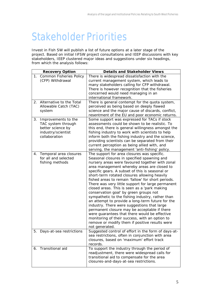### <span id="page-5-0"></span>Stakeholder Priorities

Invest in Fish SW will publish a list of future options at a later stage of the project. Based on initial IiFSW project consultations and IEEP discussions with key stakeholders, IEEP clustered major ideas and suggestions under six headings, from which the analysis follows:

|    | <b>Recovery Option</b>                                                                                | <b>Details and Stakeholder Views</b>                                                                                                                                                                                                                                                                                                                                                                                                                                                                                                                                                                                                                                                                                                                                                                                                                                               |
|----|-------------------------------------------------------------------------------------------------------|------------------------------------------------------------------------------------------------------------------------------------------------------------------------------------------------------------------------------------------------------------------------------------------------------------------------------------------------------------------------------------------------------------------------------------------------------------------------------------------------------------------------------------------------------------------------------------------------------------------------------------------------------------------------------------------------------------------------------------------------------------------------------------------------------------------------------------------------------------------------------------|
| 1. | <b>Common Fisheries Policy</b><br>(CFP) Withdrawal                                                    | There is widespread dissatisfaction with the<br>current management system, which leads to<br>many stakeholders calling for CFP withdrawal.<br>There is however recognition that the fisheries<br>concerned would need managing in an<br>international framework.                                                                                                                                                                                                                                                                                                                                                                                                                                                                                                                                                                                                                   |
|    | 2. Alternative to the Total<br>Allowable Catch (TAC)<br>system                                        | There is general contempt for the quota system,<br>perceived as being based on deeply flawed<br>science and the major cause of discards, conflict,<br>resentment of the EU and poor economic returns.                                                                                                                                                                                                                                                                                                                                                                                                                                                                                                                                                                                                                                                                              |
| 3. | Improvements to the<br>TAC system through<br>better science by<br>industry/scientist<br>collaboration | Some support was expressed for TACs if stock<br>assessments could be shown to be realistic. To<br>this end, there is general willingness amongst the<br>fishing industry to work with scientists to help<br>inform both the fishing industry and the science,<br>providing scientists can be separated from their<br>current perception as being allied with, and<br>serving, the management 'anti-fishing' policy.                                                                                                                                                                                                                                                                                                                                                                                                                                                                |
| 4. | Temporal area closures<br>for all and selected<br>fishing methods                                     | The support for area closures was specific.<br>Seasonal closures in specified spawning and<br>nursery areas were favoured together with zonal<br>area management whereby areas are closed to<br>specific gears. A subset of this is seasonal or<br>short-term rotated closures allowing heavily<br>fished areas to remain 'fallow' for short periods.<br>There was very little support for large permanent<br>closed areas. This is seen as a 'park making<br>conservation goal' by green groups not<br>sympathetic to the fishing industry, rather than<br>an attempt to provide a long-term future for the<br>industry. There were suggestions that large<br>permanent closure may be acceptable if there<br>were guarantees that there would be effective<br>monitoring of their success, with an option to<br>remove or modify them if positive results were<br>not generated. |
| 5. | Days-at-sea restrictions                                                                              | Suggested control of effort in the form of days-at-<br>sea restrictions, often in conjunction with area<br>closures, based on 'maximum' effort track<br>records.                                                                                                                                                                                                                                                                                                                                                                                                                                                                                                                                                                                                                                                                                                                   |
|    | 6. Transitional aid                                                                                   | To support the industry through the period of<br>readjustment, there were widespread calls for<br>transitional aid to compensate for the area<br>closures-and-days-at-sea restrictions.                                                                                                                                                                                                                                                                                                                                                                                                                                                                                                                                                                                                                                                                                            |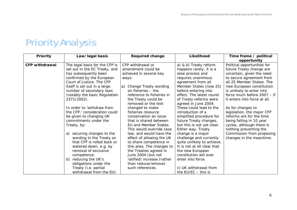# Priority Analysis

<span id="page-6-0"></span>

| <b>Priority</b>       | Law/legal basis                | <b>Required change</b>      | Likelihood                  | Time frame / political       |
|-----------------------|--------------------------------|-----------------------------|-----------------------------|------------------------------|
|                       |                                |                             |                             | opportunity                  |
| <b>CFP withdrawal</b> | The legal basis for the CFP is | CFP withdrawal or           | a) & b) Treaty reform       | Political opportunities for  |
|                       | set out in the EC Treaty, and  | amendment could be          | happens rarely; it is a     | future Treaty change are     |
|                       | has subsequently been          | achieved in several key     | slow process and            | uncertain, given the need    |
|                       | confirmed by the European      | ways:                       | requires unanimous          | to secure agreement from     |
|                       | Court of Justice. The CFP      |                             | agreement from all          | all 25 Member States. The    |
|                       | itself is set out in a large   | Change Treaty wording<br>a) | Member States (now 25)      | new European constitution    |
|                       | number of secondary laws       | on fisheries - the          | before entering into        | is unlikely to enter into    |
|                       | (notably the basic Regulation  | reference to fisheries in   | effect. The latest round    | force much before 2007 - if  |
|                       | 2371/2002).                    | the Treaty could be         | of Treaty reforms were      | it enters into force at all. |
|                       |                                | removed or the text         | agreed in June 2004.        |                              |
|                       | In order to 'withdraw from     | changed to make             | These could lead to the     | As for changes to            |
|                       | the CFP,' consideration could  | fisheries resource          | introduction of a           | legislation, the major CFP   |
|                       | be given to changing UK        | conservation an issue       | simplified procedure for    | reforms are for the time     |
|                       | commitments under the          | that is shared between      | future Treaty changes,      | being falling in 10 year     |
|                       | Treaty, by:                    | EU and Member States.       | but this is not yet clear.  | cycles, although there is    |
|                       |                                | This would override case    | Either way, Treaty          | nothing preventing the       |
|                       | securing changes to the<br>a)  | law, and would have the     | change is a major           | Commission from proposing    |
|                       | wording in the Treaty so       | effect of allowing the UK   | challenge and currently     | changes in the meantime.     |
|                       | that CFP is rolled back or     | to share competence in      | quite unlikely to achieve.  |                              |
|                       | watered down, e.g. by          | this area. The changes to   | It is not at all clear that |                              |
|                       | removal of exclusive           | the Treaties agreed in      | the new European            |                              |
|                       | competence                     | June 2004 (but not          | constitution will ever      |                              |
|                       | reducing the UK's<br>b)        | ratified) increase (rather  | enter into force.           |                              |
|                       | obligations under the          | than reduce/remove)         |                             |                              |
|                       | Treaty (i.e. partial           | such references.            | c) UK withdrawal from       |                              |
|                       | withdrawal from the EU)        |                             | the $EU/EC -$ this is       |                              |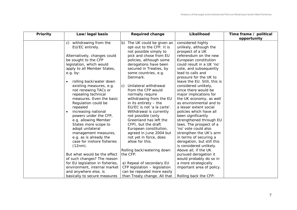| <b>Priority</b> | Law/legal basis                      |    | <b>Required change</b>        | Likelihood                   | Time frame / political |
|-----------------|--------------------------------------|----|-------------------------------|------------------------------|------------------------|
|                 |                                      |    |                               |                              | opportunity            |
|                 | withdrawing from the<br>C)           | b) | The UK could be given an      | considered highly            |                        |
|                 | EU/EC entirely.                      |    | opt-out to the CFP. It is     | unlikely, although the       |                        |
|                 |                                      |    | not possible simply to        | prospect of a UK             |                        |
|                 | Alternatively, changes could         |    | pick and chose from EU        | referendum on the new        |                        |
|                 | be sought to the CFP                 |    | policies, although some       | European constitution        |                        |
|                 | legislation, which would             |    | derogations have been         | could result in a UK 'no'    |                        |
|                 | apply to all Member States,          |    | secured in Treaties, by       | vote, and subsequently       |                        |
|                 | e.g. by:                             |    | some countries, e.g.          | lead to calls and            |                        |
|                 |                                      |    | Denmark.                      | pressure for the UK to       |                        |
|                 | rolling back/water down<br>$\bullet$ |    |                               | leave the EU. Still, this is |                        |
|                 | existing measures, e.g.              | C) | Unilateral withdrawal         | considered unlikely,         |                        |
|                 | not renewing TACs or                 |    | from the CFP would            | since there would be         |                        |
|                 | repealing technical                  |    | normally require              | major implications for       |                        |
|                 | measures. Even the basic             |    | withdrawing from the EU       | the UK economy, as well      |                        |
|                 | Regulation could be                  |    | in its entirety $-$ the       | as environmental and to      |                        |
|                 | repealed                             |    | EU/EC is not 'a la carte'.    | a lesser extent social       |                        |
|                 | increasing national<br>$\bullet$     |    | Withdrawal is currently       | policies which have all      |                        |
|                 | powers under the CFP,                |    | not possible (only            | been significantly           |                        |
|                 | e.g. allowing Member                 |    | Greenland has left the        | strengthened through EU      |                        |
|                 | States more scope to                 |    | CFP), but the draft           | laws. The prospect of a      |                        |
|                 | adopt unilateral                     |    | European constitution,        | 'no' vote could also         |                        |
|                 | management measures,                 |    | agreed in June 2004 but       | strengthen the UK's arm      |                        |
|                 | e.g. as is already the               |    | not yet in force, does        | in terms of securing a       |                        |
|                 | case for inshore fisheries           |    | allow for this.               | derogation, but still this   |                        |
|                 | $(12nm)$ .                           |    |                               | is considered unlikely.      |                        |
|                 |                                      |    | Rolling back/watering down    | Above all, if the UK         |                        |
|                 | But what would be the effect         |    | the CFP:                      | pursued derogation it        |                        |
|                 | of such changes? The reason          |    |                               | would probably do so in      |                        |
|                 | for EU legislation in fisheries,     |    | a) Repeal of secondary EU     | a more strategically         |                        |
|                 | environment, internal market         |    | CFP legislation - legislation | important area of policy.    |                        |
|                 | and anywhere else, is                |    | can be repealed more easily   |                              |                        |
|                 | basically to secure measures         |    | than Treaty change. All that  | Rolling back the CFP:        |                        |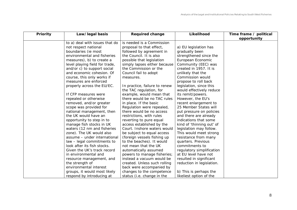| Priority | Law/legal basis                   | <b>Required change</b>        | Likelihood                | Time frame / political |
|----------|-----------------------------------|-------------------------------|---------------------------|------------------------|
|          |                                   |                               |                           | opportunity            |
|          | to a) deal with issues that do    | is needed is a Commission     |                           |                        |
|          | not respect national              | proposal to that effect,      | a) EU legislation has     |                        |
|          | boundaries (ie most               | followed by agreement in      | gradually been            |                        |
|          | environmental and fisheries       | the Council. It is also       | strengthened since the    |                        |
|          | measures), b) to create a         | possible that legislation     | European Economic         |                        |
|          | level playing field for trade,    | simply lapses either because  | Community (EEC) was       |                        |
|          | and/or c) to support social       | the Commission or the         | created in 1957. It is    |                        |
|          | and economic cohesion. Of         | Council fail to adopt         | unlikely that the         |                        |
|          | course, this only works if        | measures.                     | Commission would          |                        |
|          | measures are enforced             |                               | propose to roll back      |                        |
|          | properly across the EU/EC.        | In practice, failure to renew | legislation, since this   |                        |
|          |                                   | the TAC regulation, for       | would effectively reduce  |                        |
|          | If CFP measures were              | example, would mean that      | its remit/powers.         |                        |
|          | repealed or otherwise             | there would be no TAC rules   | However, the EU's         |                        |
|          | removed, and/or greater           | in place. If the basic        | recent enlargement to     |                        |
|          | scope was provided for            | Regulation were repealed,     | 25 Member States will     |                        |
|          | national management, then         | there would be no access      | put pressure on policies  |                        |
|          | the UK would have an              | restrictions, with rules      | and there are already     |                        |
|          | opportunity to step in to         | reverting to pure equal       | indications that some     |                        |
|          | manage fish stocks in UK          | access established by the     | kind of 'thinning out' of |                        |
|          | waters (12 nm and fisheries       | Court. Inshore waters would   | legislation may follow.   |                        |
|          | zone). The UK would also          | be subject to equal access    | This would meet strong    |                        |
|          | assume - under international      | (foreign vessels fishing up   | resistance from many      |                        |
|          | law - legal <i>commitments</i> to | to the beaches). It would     | quarters. Previous        |                        |
|          | look after its fish stocks.       | not mean that the UK          | commitments to            |                        |
|          | Given the UK's track record       | automatically assumed         | regulatory simplification |                        |
|          | in environmental and              | powers to manage fisheries;   | at EU level have not      |                        |
|          | resource management, and          | instead a vacuum would be     | resulted in significant   |                        |
|          | the strength of                   | created. Unless such rolling  | reduction in legislation. |                        |
|          | environmental interest            | back were accompanied by      |                           |                        |
|          | groups, it would most likely      | changes to the competence     | b) This is perhaps the    |                        |
|          | respond by introducing at         | status (i.e. change in the    | likeliest option of the   |                        |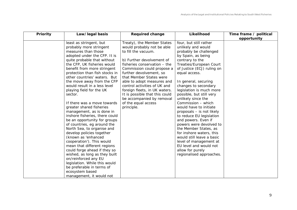| Priority | Law/legal basis                                                                                                                                                                                                                                                                                                                                                                                                                                                                                                                                                                                                                                                                                                                                                                                                                                                                                | <b>Required change</b>                                                                                                                                                                                                                                                                                                                                                                                                              | Likelihood                                                                                                                                                                                                                                                                                                                                                                                                                                                                                                                                                                                                                                                               | Time frame / political |
|----------|------------------------------------------------------------------------------------------------------------------------------------------------------------------------------------------------------------------------------------------------------------------------------------------------------------------------------------------------------------------------------------------------------------------------------------------------------------------------------------------------------------------------------------------------------------------------------------------------------------------------------------------------------------------------------------------------------------------------------------------------------------------------------------------------------------------------------------------------------------------------------------------------|-------------------------------------------------------------------------------------------------------------------------------------------------------------------------------------------------------------------------------------------------------------------------------------------------------------------------------------------------------------------------------------------------------------------------------------|--------------------------------------------------------------------------------------------------------------------------------------------------------------------------------------------------------------------------------------------------------------------------------------------------------------------------------------------------------------------------------------------------------------------------------------------------------------------------------------------------------------------------------------------------------------------------------------------------------------------------------------------------------------------------|------------------------|
|          |                                                                                                                                                                                                                                                                                                                                                                                                                                                                                                                                                                                                                                                                                                                                                                                                                                                                                                |                                                                                                                                                                                                                                                                                                                                                                                                                                     |                                                                                                                                                                                                                                                                                                                                                                                                                                                                                                                                                                                                                                                                          | opportunity            |
|          | least as stringent, but<br>probably more stringent<br>measures than those<br>adopted under the CFP. It is<br>quite probable that without<br>the CFP, UK fisheries would<br>benefit from more stringent<br>protection than fish stocks in<br>other countries' waters. But<br>the move away from the CFP<br>would result in a less level<br>playing field for the UK<br>sector.<br>If there was a move towards<br>greater shared fisheries<br>management, as is done in<br>inshore fisheries, there could<br>be an opportunity for groups<br>of countries, eg around the<br>North Sea, to organise and<br>develop policies together<br>(known as 'enhanced<br>cooperation'). This would<br>mean that different regions<br>could forge ahead if they so<br>wished, as long as they built<br>on/reinforced any EU<br>legislation. While this would<br>be preferable in terms of<br>ecosystem based | Treaty), the Member States<br>would probably not be able<br>to fill the vacuum.<br>b) Further devolvement of<br>fisheries conservation - the<br>Commission could propose a<br>further devolvement, so<br>that Member States were<br>able to adopt measures and<br>control activities of UK and<br>foreign fleets, in UK waters.<br>It is possible that this could<br>be accompanied by removal<br>of the equal access<br>principle. | four, but still rather<br>unlikely and would<br>probably be challenged<br>by Spain, as being<br>contrary to the<br>Treaties/European Court<br>of Justice (ECJ) ruling on<br>equal access.<br>In general, securing<br>changes to secondary<br>legislation is much more<br>possible, but still very<br>unlikely since the<br>Commission - which<br>would have to initiate<br>proposals - is not likely<br>to reduce EU legislation<br>and powers. Even if<br>powers were devolved to<br>the Member States, as<br>for inshore waters, this<br>would still leave a basic<br>level of management at<br>EU level and would not<br>allow for purely<br>regionalised approaches. |                        |
|          | management, it would not                                                                                                                                                                                                                                                                                                                                                                                                                                                                                                                                                                                                                                                                                                                                                                                                                                                                       |                                                                                                                                                                                                                                                                                                                                                                                                                                     |                                                                                                                                                                                                                                                                                                                                                                                                                                                                                                                                                                                                                                                                          |                        |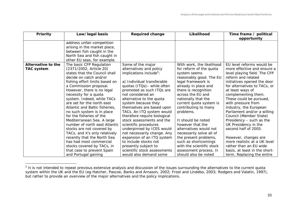| Priority           | Law/legal basis                | <b>Required change</b>              | Likelihood                | Time frame / political<br>opportunity |
|--------------------|--------------------------------|-------------------------------------|---------------------------|---------------------------------------|
|                    | address unfair competition     |                                     |                           |                                       |
|                    | arising in the market place,   |                                     |                           |                                       |
|                    | between fish caught in the     |                                     |                           |                                       |
|                    | North Sea and fish caught in   |                                     |                           |                                       |
|                    | other EU seas, for example.    |                                     |                           |                                       |
| Alternative to the | The basic CFP Regulation       | Some of the major                   | With work, the likelihood | EU level reforms would be             |
| <b>TAC system</b>  | (2371/2002, Article 20)        | alternatives and policy             | for reform of the quota   | more effective and ensure a           |
|                    | states that the Council shall  | implications include <sup>2</sup> : | system seems              | level playing field. The CFP          |
|                    | decide on catch and/or         |                                     | reasonably good. The EU   | reform and related                    |
|                    | fishing effort limits based on | a) Individual transferable          | legal framework is        | initiatives opened the door           |
|                    | a Commission proposal.         | quotas (ITQs)- while often          | already in place and      | for alternatives to TACs, or          |
|                    | However, there is no legal     | promoted as such ITQs are           | there is recognition      | at least ways of                      |
|                    | necessity for a quota          | not considered an                   | across the EU and         | complementing them.                   |
|                    | system. Indeed, while TACs     | alternative to the quota            | nationally that the       | These could be pursued,               |
|                    | are set for the north east     | system because they                 | current quota system is   | with pressure from                    |
|                    | Atlantic and Baltic fisheries, | themselves are based upon           | contributing to many      | industry, the European                |
|                    | no such system is in place     | TACs. An ITQ system would           | problems.                 | Parliament and/or a willing           |
|                    | for the fisheries of the       | therefore require biological        |                           | Council (Member State)                |
|                    | Mediterranean Sea. A large     | stock assessments and the           | It should be noted        | Presidency - such as the              |
|                    | number of north east Atlantic  | scientific procedures               | however that the          | UK Presidency in the                  |
|                    | stocks are not covered by      | underpinned by ICES would           | alternatives would not    | second half of 2005.                  |
|                    | TACs, and it's only relatively | not necessarily change. Any         | necessarily solve all of  |                                       |
|                    | recently that the North Sea    | expansion of an ITQ system          | the present problems,     | However, changes are                  |
|                    | has had most commercial        | to include stocks not               | such as shortcomings      | more realistic at a UK level          |
|                    | stocks covered by TACs, in     | presently subject to                | with the scientific stock | rather than an EU wide                |
|                    | that case to prevent Spain     | scientific stock assessments        | assessment process. It    | basis, at least in the short-         |
|                    | and Portugal gaining           | would also demand some              | should also be noted      | term. Replacing the entire            |

<span id="page-10-1"></span><span id="page-10-0"></span> $2$  It is not intended to repeat previous extensive analysis and discussion of the issues surrounding the alternatives to the current quota system within the UK and the EU (eg Hatcher, Pascoe, Banks and Arnason, 2002; Frost and Lindebo, 2003; Rodgers and Valatin, 1997), but rather to provide an overview of the major alternatives and the policy implications.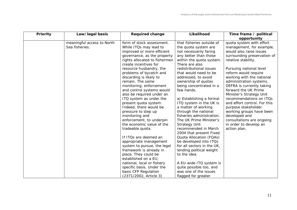| Priority | Law/legal basis            | <b>Required change</b>        | Likelihood                 | Time frame / political       |
|----------|----------------------------|-------------------------------|----------------------------|------------------------------|
|          |                            |                               |                            | opportunity                  |
|          | meaningful access to North | form of stock assessment.     | that fisheries outside of  | quota system with effort     |
|          | Sea fisheries.             | While ITQs may lead to        | the quota system are       | management, for example,     |
|          |                            | improved or more efficient    | not necessarily faring     | would also raise issues      |
|          |                            | governance, as the property   | any better than those      | surrounding preservation of  |
|          |                            | rights allocated to fishermen | within the quota system.   | relative stability.          |
|          |                            | create incentives for         | There are also             |                              |
|          |                            | resource husbandry, the       | redistributional issues    | Pursuing national level      |
|          |                            | problems of bycatch and       | that would need to be      | reform would require         |
|          |                            | discarding is likely to       | addressed, to avoid        | working with the national    |
|          |                            | remain. The same              | ownership of quotas        | administration systems.      |
|          |                            | monitoring, enforcement       | being concentrated in a    | DEFRA is currently taking    |
|          |                            | and control systems would     | few hands.                 | forward the UK Prime         |
|          |                            | also be required under an     |                            | Minister's Strategy Unit     |
|          |                            | ITQ system as under the       | a) Establishing a formal   | recommendations on ITQs      |
|          |                            | present quota system.         | ITQ system in the UK is    | and effort control. For this |
|          |                            | Indeed, there would be        | a matter of working        | purpose stakeholder          |
|          |                            | pressure to step up           | through the national       | working groups have been     |
|          |                            | monitoring and                | fisheries administration.  | developed and                |
|          |                            | enforcement, to underpin      | The UK Prime Minister's    | consultations are ongoing    |
|          |                            | the economic value of the     | <b>Strategy Unit</b>       | in order to develop an       |
|          |                            | tradeable quota.              | recommended in March       | action plan.                 |
|          |                            |                               | 2004 that present Fixed    |                              |
|          |                            | If ITQs are deemed an         | Quota Allocation (FQAs)    |                              |
|          |                            | appropriate management        | be developed into ITQs     |                              |
|          |                            | system to pursue, the legal   | for all sectors in the UK, |                              |
|          |                            | framework is already in       | lending political weight   |                              |
|          |                            | place. They could be          | to the idea.               |                              |
|          |                            | established on a EU,          |                            |                              |
|          |                            | national, local or fishery    | A EU-wide ITQ system is    |                              |
|          |                            | specific basis. Under the     | quite possible too, and    |                              |
|          |                            | basic CFP Regulation          | was one of the issues      |                              |
|          |                            | (2371/2002, Article 3)        | flagged for greater        |                              |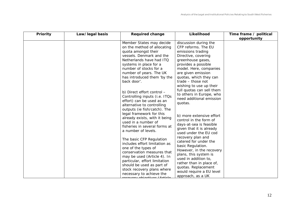| Priority | Law/legal basis | <b>Required change</b>                                                                                                                                                                                                                                                                                   | Likelihood                                                                                                                                                                                                                                                     | Time frame / political |
|----------|-----------------|----------------------------------------------------------------------------------------------------------------------------------------------------------------------------------------------------------------------------------------------------------------------------------------------------------|----------------------------------------------------------------------------------------------------------------------------------------------------------------------------------------------------------------------------------------------------------------|------------------------|
|          |                 |                                                                                                                                                                                                                                                                                                          |                                                                                                                                                                                                                                                                | opportunity            |
|          |                 | Member States may decide<br>on the method of allocating<br>quota amongst their<br>vessels. Denmark and the<br>Netherlands have had ITQ<br>systems in place for a<br>number of stocks for a<br>number of years. The UK<br>has introduced them 'by the<br>back door'.                                      | discussion during the<br>CFP reforms. The EU<br>emissions trading<br>Directive, covering<br>greenhouse gases,<br>provides a possible<br>model. Here, companies<br>are given emission<br>quotas, which they can<br>trade - those not<br>wishing to use up their |                        |
|          |                 | b) Direct effort control -<br>Controlling inputs (i.e. ITQs<br>effort) can be used as an<br>alternative to controlling<br>outputs (ie fish/catch). The<br>legal framework for this<br>already exists, with it being<br>used in a number of<br>fisheries in several forms at<br>a number of levels.       | full quotas can sell them<br>to others in Europe, who<br>need additional emission<br>quotas.<br>b) more extensive effort<br>control in the form of<br>days-at-sea is feasible<br>given that it is already<br>used under the EU cod                             |                        |
|          |                 | The basic CFP Regulation<br>includes effort limitation as<br>one of the types of<br>conservation measures that<br>may be used (Article 4). In<br>particular, effort limitation<br>should be used as part of<br>stock recovery plans where<br>necessary to achieve the<br><u>voru objectives (Article</u> | recovery plan and<br>catered for under the<br>basic Regulation.<br>However, in the recovery<br>plans, this system is<br>used in addition to,<br>rather than in place of,<br>quotas. Replacement<br>would require a EU level<br>approach, as a UK               |                        |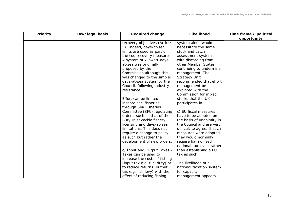| Priority | Law/legal basis | <b>Required change</b>        | Likelihood                  | Time frame / political |
|----------|-----------------|-------------------------------|-----------------------------|------------------------|
|          |                 |                               |                             | opportunity            |
|          |                 | recovery objectives (Article  | system alone would still    |                        |
|          |                 | 5). Indeed, days-at-sea       | necessitate the same        |                        |
|          |                 | limits are used as part of    | stock and catch             |                        |
|          |                 | the cod recovery measures.    | assessment systems          |                        |
|          |                 | A system of kilowatt-days-    | with discarding from        |                        |
|          |                 | at-sea was originally         | other Member States         |                        |
|          |                 | proposed by the               | continuing to undermine     |                        |
|          |                 | Commission although this      | management. The             |                        |
|          |                 | was changed to the simpler    | <b>Strategy Unit</b>        |                        |
|          |                 | days-at-sea system by the     | recommended that effort     |                        |
|          |                 | Council, following industry   | management be               |                        |
|          |                 | resistance.                   | explored with the           |                        |
|          |                 |                               | Commission for mixed        |                        |
|          |                 | Effort can be limited in      | stocks that the UK          |                        |
|          |                 | inshore shellfisheries        | participates in.            |                        |
|          |                 | through Sea Fisheries         |                             |                        |
|          |                 | Committee (SFC) regulating    | c) EU fiscal measures       |                        |
|          |                 | orders, such as that of the   | have to be adopted on       |                        |
|          |                 | Bury Inlet cockle fishery     | the basis of unanimity in   |                        |
|          |                 | licensing and days-at-sea     | the Council and are very    |                        |
|          |                 | limitations. This does not    | difficult to agree. If such |                        |
|          |                 | require a change to policy    | measures were adopted,      |                        |
|          |                 | as such but rather the        | they would normally         |                        |
|          |                 | development of new orders.    | require harmonised          |                        |
|          |                 |                               | national tax levels rather  |                        |
|          |                 | c) Input and Output Taxes -   | than establishing a EU      |                        |
|          |                 | Taxes can be used to          | tax as such.                |                        |
|          |                 | increase the costs of fishing |                             |                        |
|          |                 | (input tax e.g. fuel duty) or | The likelihood of a         |                        |
|          |                 | to reduce returns (output     | national taxation system    |                        |
|          |                 | tax e.g. fish levy) with the  | for capacity                |                        |
|          |                 | effect of reducing fishing    | management appears          |                        |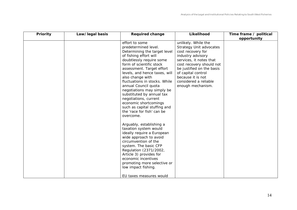| Priority | Law/legal basis | <b>Required change</b>                                                                                                                                                                                                                                                                                                                                                                                                                                                                                                                                                                                                                                                                                                                                                                      | Likelihood                                                                                                                                                                                                                                                                   | Time frame / political |
|----------|-----------------|---------------------------------------------------------------------------------------------------------------------------------------------------------------------------------------------------------------------------------------------------------------------------------------------------------------------------------------------------------------------------------------------------------------------------------------------------------------------------------------------------------------------------------------------------------------------------------------------------------------------------------------------------------------------------------------------------------------------------------------------------------------------------------------------|------------------------------------------------------------------------------------------------------------------------------------------------------------------------------------------------------------------------------------------------------------------------------|------------------------|
|          |                 |                                                                                                                                                                                                                                                                                                                                                                                                                                                                                                                                                                                                                                                                                                                                                                                             |                                                                                                                                                                                                                                                                              | opportunity            |
|          |                 | effort to some<br>predetermined level.<br>Determining the target level<br>of fishing effort will<br>doubtlessly require some<br>form of scientific stock<br>assessment. Target effort<br>levels, and hence taxes, will<br>also change with<br>fluctuations in stocks. While<br>annual Council quota<br>negotiations may simply be<br>substituted by annual tax<br>negotiations, current<br>economic shortcomings<br>such as capital stuffing and<br>the 'race for fish' can be<br>overcome.<br>Arguably, establishing a<br>taxation system would<br>ideally require a European<br>wide approach to avoid<br>circumvention of the<br>system. The basic CFP<br>Regulation (2371/2002,<br>Article 3) provides for<br>economic incentives<br>promoting more selective or<br>low impact fishing. | unlikely. While the<br><b>Strategy Unit advocates</b><br>cost recovery for<br>industry advisory<br>services, it notes that<br>cost recovery should not<br>be justified on the basis<br>of capital control<br>because it is not<br>considered a reliable<br>enough mechanism. |                        |
|          |                 | EU taxes measures would                                                                                                                                                                                                                                                                                                                                                                                                                                                                                                                                                                                                                                                                                                                                                                     |                                                                                                                                                                                                                                                                              |                        |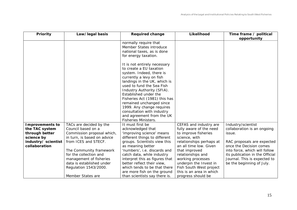<span id="page-15-0"></span>

| Priority                                                                                                         | Law/legal basis                                                                                                                                                                                                                                                                               | <b>Required change</b>                                                                                                                                                                                                                                                                                                                                                                 | Likelihood                                                                                                                                                                                                                                                                                                         | Time frame / political                                                                                                                                                                                                                                |
|------------------------------------------------------------------------------------------------------------------|-----------------------------------------------------------------------------------------------------------------------------------------------------------------------------------------------------------------------------------------------------------------------------------------------|----------------------------------------------------------------------------------------------------------------------------------------------------------------------------------------------------------------------------------------------------------------------------------------------------------------------------------------------------------------------------------------|--------------------------------------------------------------------------------------------------------------------------------------------------------------------------------------------------------------------------------------------------------------------------------------------------------------------|-------------------------------------------------------------------------------------------------------------------------------------------------------------------------------------------------------------------------------------------------------|
|                                                                                                                  |                                                                                                                                                                                                                                                                                               | normally require that<br>Member States introduce<br>national taxes, as is done<br>for energy taxation.<br>It is not entirely necessary<br>to create a EU taxation<br>system. Indeed, there is<br>currently a levy on fish<br>landings in the UK, which is<br>used to fund the Sea Fish<br>Industry Authority (SFIA).<br>Established under the<br>Fisheries Act (1981) this has         |                                                                                                                                                                                                                                                                                                                    | opportunity                                                                                                                                                                                                                                           |
|                                                                                                                  |                                                                                                                                                                                                                                                                                               | remained unchanged since<br>1999. Any change requires<br>consultation with industry<br>and agreement from the UK<br>Fisheries Ministers.                                                                                                                                                                                                                                               |                                                                                                                                                                                                                                                                                                                    |                                                                                                                                                                                                                                                       |
| <b>Improvements to</b><br>the TAC system<br>through better<br>science by<br>industry/ scientist<br>collaboration | TACs are decided by the<br>Council based on a<br>Commission proposal which,<br>in turn, is based on advice<br>from ICES and STECF.<br>The Community framework<br>for the collection and<br>management of fisheries<br>data is established under<br>Regulation 1543/2000.<br>Member States are | It must first be<br>acknowledged that<br>'improving science' means<br>different things to different<br>groups. Scientists view this<br>as meaning better<br>'numbers', i.e. discards and<br>catch data, while industry<br>interpret this as figures that<br>better reflect their view,<br>which tends to be that there<br>are more fish on the ground<br>than scientists say there is. | CEFAS and industry are<br>fully aware of the need<br>to improve fisheries<br>science, with<br>relationships perhaps at<br>an all time low. Given<br>that improved<br>relationships and<br>working processes<br>underpin the Invest in<br>Fish South West project<br>this is an area in which<br>progress should be | Industry/scientist<br>collaboration is an ongoing<br>issue.<br>RAC proposals are expected<br>once the Decision comes<br>into force, which will follow<br>its publication in the Official<br>Journal. This is expected to<br>be the beginning of July. |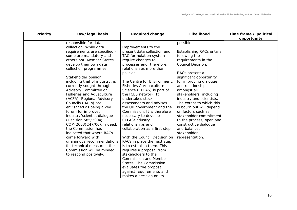| Priority | Law/legal basis                                                                                                                                                                                                                                                                                                                                                                                                                                                                                                                                                                                                                                                                                                                  | <b>Required change</b>                                                                                                                                                                                                                                                                                                                                                                                                                                                                                                                                                                                                                                                                                                                                              | Likelihood                                                                                                                                                                                                                                                                                                                                                                                                                                                                           | Time frame / political |
|----------|----------------------------------------------------------------------------------------------------------------------------------------------------------------------------------------------------------------------------------------------------------------------------------------------------------------------------------------------------------------------------------------------------------------------------------------------------------------------------------------------------------------------------------------------------------------------------------------------------------------------------------------------------------------------------------------------------------------------------------|---------------------------------------------------------------------------------------------------------------------------------------------------------------------------------------------------------------------------------------------------------------------------------------------------------------------------------------------------------------------------------------------------------------------------------------------------------------------------------------------------------------------------------------------------------------------------------------------------------------------------------------------------------------------------------------------------------------------------------------------------------------------|--------------------------------------------------------------------------------------------------------------------------------------------------------------------------------------------------------------------------------------------------------------------------------------------------------------------------------------------------------------------------------------------------------------------------------------------------------------------------------------|------------------------|
|          |                                                                                                                                                                                                                                                                                                                                                                                                                                                                                                                                                                                                                                                                                                                                  |                                                                                                                                                                                                                                                                                                                                                                                                                                                                                                                                                                                                                                                                                                                                                                     |                                                                                                                                                                                                                                                                                                                                                                                                                                                                                      | opportunity            |
|          | responsible for data<br>collection. While data<br>requirements are specified -<br>some are mandatory and<br>others not. Member States<br>develop their own data<br>collection programmes.<br>Stakeholder opinion,<br>including that of industry, is<br>currently sought through<br>Advisory Committee on<br><b>Fisheries and Aquaculture</b><br>(ACFA). Regional Advisory<br>Councils (RACs) are<br>envisaged as being a key<br>forum for improved<br>industry/scientist dialogue<br>(Decision 585/2004;<br>COM(2003)C47/06). Indeed,<br>the Commission has<br>indicated that where RACs<br>come forward with<br>unanimous recommendations<br>for technical measures, the<br>Commission will be minded<br>to respond positively. | Improvements to the<br>present data collection and<br>TAC formulation system<br>require changes to<br>processes and, therefore,<br>relationships more than<br>policies.<br>The Centre for Environment,<br>Fisheries & Aquaculture<br>Science (CEFAS) is part of<br>the ICES network. It<br>undertakes stock<br>assessments and advises<br>the UK government and the<br>Commission. It is therefore<br>necessary to develop<br>CEFAS/industry<br>relationships and<br>collaboration as a first step.<br>With the Council Decision on<br>RACs in place the next step<br>is to establish them. This<br>requires a proposal from<br>stakeholders to the<br><b>Commission and Member</b><br>States. The Commission<br>evaluates the proposal<br>against requirements and | possible.<br>Establishing RACs entails<br>following the<br>requirements in the<br>Council Decision.<br>RACs present a<br>significant opportunity<br>for improving dialogue<br>and relationships<br>amongst all<br>stakeholders, including<br>industry and scientists.<br>The extent to which this<br>is bourn out will depend<br>on factors such as<br>stakeholder commitment<br>to the process, open and<br>constructive dialogue<br>and balanced<br>stakeholder<br>representation. |                        |
|          |                                                                                                                                                                                                                                                                                                                                                                                                                                                                                                                                                                                                                                                                                                                                  | makes a decision on its                                                                                                                                                                                                                                                                                                                                                                                                                                                                                                                                                                                                                                                                                                                                             |                                                                                                                                                                                                                                                                                                                                                                                                                                                                                      |                        |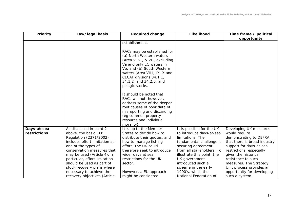<span id="page-17-0"></span>

| Priority     | Law/legal basis               | <b>Required change</b>        | Likelihood                 | Time frame / political       |
|--------------|-------------------------------|-------------------------------|----------------------------|------------------------------|
|              |                               |                               |                            | opportunity                  |
|              |                               | establishment.                |                            |                              |
|              |                               |                               |                            |                              |
|              |                               | RACs may be established for   |                            |                              |
|              |                               | (a) North Western waters      |                            |                              |
|              |                               | (Area V, VI, & VII, excluding |                            |                              |
|              |                               | Va and only EC waters in      |                            |                              |
|              |                               | Vb, and (b) South Western     |                            |                              |
|              |                               | waters (Area VIII, IX, X and  |                            |                              |
|              |                               | CECAF divisions 34.1.1,       |                            |                              |
|              |                               | 34.1.2 and 34.2.0, and        |                            |                              |
|              |                               | pelagic stocks.               |                            |                              |
|              |                               |                               |                            |                              |
|              |                               | It should be noted that       |                            |                              |
|              |                               | RACs will not, however,       |                            |                              |
|              |                               | address some of the deeper    |                            |                              |
|              |                               | root causes of poor data of   |                            |                              |
|              |                               | misreporting and discarding   |                            |                              |
|              |                               | (eg common property           |                            |                              |
|              |                               | resource and individual       |                            |                              |
|              |                               | morality).                    |                            |                              |
| Days-at-sea  | As discussed in point 2       | It is up to the Member        | It is possible for the UK  | Developing UK measures       |
| restrictions | above, the basic CFP          | States to decide how to       | to introduce days-at-sea   | would require                |
|              | Regulation (2371/2002)        | distribute their quotas, and  | limitations. The           | demonstrating to DEFRA       |
|              | includes effort limitation as | how to manage fishing         | fundamental challenge is   | that there is broad industry |
|              | one of the types of           | effort. The UK could          | securing agreement         | support for days-at-sea      |
|              | conservation measures that    | therefore seek to introduce   | from all stakeholders. To  | restrictions, especially     |
|              | may be used (Article 4). In   | wider days at sea             | illustrate this point, the | given the historical         |
|              | particular, effort limitation | restrictions for the UK       | UK government              | resistance to such           |
|              | should be used as part of     | sector.                       | introduced such a          | measures. The Strategy       |
|              | stock recovery plans where    |                               | scheme in the early        | Unit process provides an     |
|              | necessary to achieve the      | However, a EU approach        | 1990's, which the          | opportunity for developing   |
|              | recovery objectives (Article  | might be considered           | National Federation of     | such a system.               |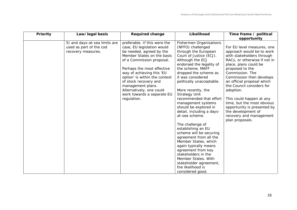| Priority | Law/legal basis                                                                | <b>Required change</b>                                                                                                                                                                                                                                                                                                                                               | Likelihood                                                                                                                                                                                                                                                                                                                                                                                                                                                                                                                                                                                                                                                                                                          | Time frame / political                                                                                                                                                                                                                                                                                                                                                                                                                               |
|----------|--------------------------------------------------------------------------------|----------------------------------------------------------------------------------------------------------------------------------------------------------------------------------------------------------------------------------------------------------------------------------------------------------------------------------------------------------------------|---------------------------------------------------------------------------------------------------------------------------------------------------------------------------------------------------------------------------------------------------------------------------------------------------------------------------------------------------------------------------------------------------------------------------------------------------------------------------------------------------------------------------------------------------------------------------------------------------------------------------------------------------------------------------------------------------------------------|------------------------------------------------------------------------------------------------------------------------------------------------------------------------------------------------------------------------------------------------------------------------------------------------------------------------------------------------------------------------------------------------------------------------------------------------------|
|          |                                                                                |                                                                                                                                                                                                                                                                                                                                                                      |                                                                                                                                                                                                                                                                                                                                                                                                                                                                                                                                                                                                                                                                                                                     | opportunity                                                                                                                                                                                                                                                                                                                                                                                                                                          |
|          | 5) and days-at-sea limits are<br>used as part of the cod<br>recovery measures. | preferable. If this were the<br>case, EU legislation would<br>be needed, agreed by the<br>Member States on the basis<br>of a Commission proposal.<br>Perhaps the most effective<br>way of achieving this 'EU<br>option' is within the context<br>of stock recovery and<br>management plans.<br>Alternatively, one could<br>work towards a separate EU<br>regulation. | <b>Fishermen Organisations</b><br>(NFFO) challenged<br>through the European<br>Court of Justice (ECJ).<br>Although the ECJ<br>endorsed the legality of<br>the scheme, MAFF<br>dropped the scheme as<br>it was considered<br>politically unacceptable.<br>More recently, the<br><b>Strategy Unit</b><br>recommended that effort<br>management systems<br>should be explored in<br>detail, including a days-<br>at-sea scheme.<br>The challenge of<br>establishing an EU<br>scheme will be securing<br>agreement from all the<br>Member States, which<br>again typically means<br>agreement from key<br>stakeholders in the<br>Member States. With<br>stakeholder agreement,<br>the likelihood is<br>considered good. | For EU level measures, one<br>approach would be to work<br>with stakeholders through<br>RACs, or otherwise if not in<br>place, plans could be<br>proposed to the<br>Commission. The<br>Commission then develops<br>an official proposal which<br>the Council considers for<br>adoption.<br>This could happen at any<br>time, but the most obvious<br>opportunity is presented by<br>the development of<br>recovery and management<br>plan proposals. |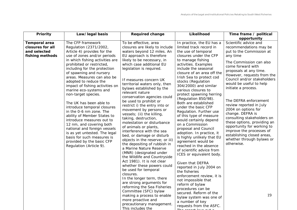<span id="page-19-0"></span>

| Priority                                                                    | Law/legal basis                                                                                                                                                                                                                                                                                                                                                                                                                                                                                                                                                                                                                                                                                                      | <b>Required change</b>                                                                                                                                                                                                                                                                                                                                                                                                                                                                                                                                                                                                                                                                                                                                                                                                                                                                                                                                                                                                                                                                         | Likelihood                                                                                                                                                                                                                                                                                                                                                                                                                                                                                                                                                                                                                                                                                                                                                                                                                                                                                                                                                                   | Time frame / political<br>opportunity                                                                                                                                                                                                                                                                                                                                                                                                                                                                                                                                                 |
|-----------------------------------------------------------------------------|----------------------------------------------------------------------------------------------------------------------------------------------------------------------------------------------------------------------------------------------------------------------------------------------------------------------------------------------------------------------------------------------------------------------------------------------------------------------------------------------------------------------------------------------------------------------------------------------------------------------------------------------------------------------------------------------------------------------|------------------------------------------------------------------------------------------------------------------------------------------------------------------------------------------------------------------------------------------------------------------------------------------------------------------------------------------------------------------------------------------------------------------------------------------------------------------------------------------------------------------------------------------------------------------------------------------------------------------------------------------------------------------------------------------------------------------------------------------------------------------------------------------------------------------------------------------------------------------------------------------------------------------------------------------------------------------------------------------------------------------------------------------------------------------------------------------------|------------------------------------------------------------------------------------------------------------------------------------------------------------------------------------------------------------------------------------------------------------------------------------------------------------------------------------------------------------------------------------------------------------------------------------------------------------------------------------------------------------------------------------------------------------------------------------------------------------------------------------------------------------------------------------------------------------------------------------------------------------------------------------------------------------------------------------------------------------------------------------------------------------------------------------------------------------------------------|---------------------------------------------------------------------------------------------------------------------------------------------------------------------------------------------------------------------------------------------------------------------------------------------------------------------------------------------------------------------------------------------------------------------------------------------------------------------------------------------------------------------------------------------------------------------------------------|
| <b>Temporal area</b><br>closures for all<br>and selected<br>fishing methods | The CFP framework<br>Regulation (2371/2002,<br>Article 4) provides for the<br>use of zones and/or periods<br>in which fishing activities are<br>prohibited or restricted,<br>including for the protection<br>of spawning and nursery<br>areas. Measures can also be<br>adopted to reduce the<br>impact of fishing activities on<br>marine eco-systems and<br>non-target species.<br>The UK has been able to<br>introduce temporal closures<br>in the 0-6 nm zone. The<br>ability of Member States to<br>introduce measures out to<br>12 nm, and covering both<br>national and foreign vessels<br>is as yet untested. The legal<br>basis for such measures is<br>provided by the basic CFP<br>Regulation (Article 9). | To be effective, area<br>closures are likely to include<br>waters beyond 12 miles. An<br>EU approach is therefore<br>likely to be necessary, in<br>which case additional EU<br>legislation is required.<br>If measures concern UK<br>territorial waters only, then<br>bylaws established by the<br>relevant nature<br>conservation agencies could<br>be used to prohibit or<br>restrict i) the entry into or<br>movement by persons or<br>vessels; (ii) the killing,<br>taking, destruction,<br>molestation or disturbance<br>of animals or plants,<br>interference with the sea<br>bed, or damage or disturb<br>objects in the reserve; or iii)<br>the depositing of rubbish in<br>a Marine Nature Reserve<br>(MNR) (designated under<br>the Wildlife and Countryside<br>Act 1981). It is not clear<br>whether these powers could<br>be used for temporal<br>closures.<br>In the longer term, there<br>are strong arguments for<br>reforming the Sea Fisheries<br>Committee (SFC) bylaw<br>making a process to enable<br>more proactive and<br>precautionary management.<br>This includes the | In practice, the EU has a<br>limited track record in<br>the use of temporal<br>closures under the CFP<br>to manage fishing<br>activities. Examples<br>include the seasonal<br>closure of an area off the<br>Irish Sea to protect cod<br>stocks (Regulation<br>304/2000) and similar<br>various closures to<br>protect spawning herring<br>(Regulation 850/98).<br>Both are established<br>under the basic CFP<br>Regulation. Further use<br>of this type of measure<br>would certainly depend<br>on a Commission<br>proposal and Council<br>adoption. In practice, it<br>is highly unlikely that EU<br>agreement would be<br>reached in the absence<br>of scientific advice from<br>ICES or equivalent body.<br>Given that DEFRA<br>reported in July 2004 on<br>the fisheries<br>enforcement review, it is<br>not impossible that<br>reform of bylaw<br>procedures can be<br>secured. Reform of the<br>bylaw system was one of<br>a number of key<br>requests from the ASFC. | Scientific advice and<br>recommendations may be<br>put to the Commission at<br>any time<br>The Commission can also<br>come forward with<br>proposals at any time.<br>However, requests from the<br>Council and/or stakeholders<br>would be useful to help<br>initiate a process.<br>The DEFRA enforcement<br>review reported in July<br>2004 on options for<br>change. DEFRA is<br>consulting stakeholders on<br>these options, providing an<br>opportunity for working to<br>improve the processes of<br>establishing closed areas,<br>whether through bylaws or<br>otherwise.<br>19 |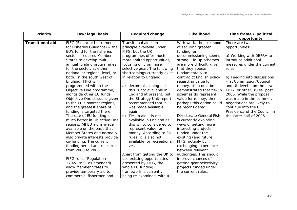| Priority                | Law/legal basis                | <b>Required change</b>        | Likelihood                | Time frame / political       |
|-------------------------|--------------------------------|-------------------------------|---------------------------|------------------------------|
|                         |                                |                               |                           | opportunity                  |
| <b>Transitional aid</b> | FIFG (Financial Instrument     | Transitional aid is in        | With work, the likelihood | There are two                |
|                         | for Fisheries Guidance) - the  | principle available under     | of securing greater       | opportunities:               |
|                         | EU's fund for the fisheries    | FIFG, but the UK              | funding for               |                              |
|                         | sector - requires Member       | programmes offer much         | decommissioning seems     | a) Working with DEFRA to     |
|                         | States to develop multi-       | more limited opportunities,   | strong. Tie-up schemes    | introduce additional         |
|                         | annual funding programmes      | focusing only on more         | are more difficult, given | measures under the current   |
|                         | for the sector, at either      | selective gear. The following | that they appear          | rules                        |
|                         | national or regional level, or | shortcomings currently exist  | fundamentally to          |                              |
|                         | both. In the south west of     | in relation to England.       | contradict English policy | b) Feeding into discussions  |
|                         | England, FIFG is               |                               | regarding value for       | - at Commission/Council      |
|                         | programmed within the          | a) decommissioning aid -      | money. If it could be     | and UK level - on the new    |
|                         | Objective One programme,       | this is not available in      | demonstrated that tie-up  | FIFG (or other) rules, post  |
|                         | alongside other EU funds.      | England at present, but       | schemes do represent      | 2006. While the proposal     |
|                         | Objective One status is given  | the Strategy Unit report      | value for money, then     | was made in the summer,      |
|                         | to the EU's poorest regions,   | recommended that it           | perhaps this option could | negotiations are likely to   |
|                         | and the greatest share of EU   | was made available            | be reconsidered.          | continue into the UK         |
|                         | funding is targeted there.     | again.                        |                           | Presidency of the Council in |
|                         | The rate of EU funding is      | b) Tie-up aid $-$ is not      | Directorate General Fish  | the latter half of 2005.     |
|                         | much better in Objective One   | available in England as       | is currently exploring    |                              |
|                         | regions. All EU aid is made    | this is not considered to     | ways of getting more      |                              |
|                         | available on the basis that    | represent value for           | interesting projects      |                              |
|                         | Member States and normally     | money. According to EU        | funded under the          |                              |
|                         | also private interests provide | rules, it is also not         | existing (and future)     |                              |
|                         | co-funding. The current        | available for recreational    | FIFG, notably by          |                              |
|                         | funding period and rules run   | vessels.                      | exchanging experience     |                              |
|                         | from 2000 to 2006.             |                               | between relevant          |                              |
|                         |                                | Apart from getting the UK to  | authorities. This should  |                              |
|                         | <b>FIFG rules (Regulation</b>  | use existing opportunities    | improve chances of        |                              |
|                         | 2792/1999, as amended)         | presented by FIFG, the        | getting gear selectivity  |                              |
|                         | allow Member States to         | whole EU funding              | projects funded under     |                              |
|                         | provide temporary aid to       | framework is currently        | the current rules.        |                              |
|                         | commercial fishermen and       | being re-examined, with a     |                           |                              |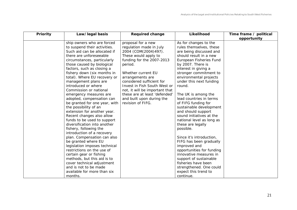| Priority | Law/legal basis               | <b>Required change</b>         | Likelihood                | Time frame / political |
|----------|-------------------------------|--------------------------------|---------------------------|------------------------|
|          |                               |                                |                           | opportunity            |
|          | ship owners who are forced    | proposal for a new             | As for changes to the     |                        |
|          | to suspend their activities.  | regulation made in July        | rules themselves, these   |                        |
|          | Such aid can be allocated if  | 2004 (COM(2004)497).           | are being discussed and   |                        |
|          | there are unforeseeable       | These would apply to           | should result in a new    |                        |
|          | circumstances, particularly   | funding for the 2007-2013      | European Fisheries Fund   |                        |
|          | those caused by biological    | period.                        | by 2007. There is         |                        |
|          | factors, such as closing a    |                                | interest in giving a      |                        |
|          | fishery down (six months in   | Whether current EU             | stronger commitment to    |                        |
|          | total). Where EU recovery or  | arrangements are               | environmental projects    |                        |
|          | management plans are          | considered sufficient for      | under this next funding   |                        |
|          | introduced or where           | Invest in Fish South West or   | round.                    |                        |
|          | Commission or national        | not, it will be important that |                           |                        |
|          | emergency measures are        | these are at least 'defended'  | The UK is among the       |                        |
|          | adopted, compensation can     | and built upon during the      | lead countries in terms   |                        |
|          | be granted for one year, with | revision of FIFG.              | of FIFG funding for       |                        |
|          | the possibility of an         |                                | sustainable development   |                        |
|          | extension for another year.   |                                | and should support        |                        |
|          | Recent changes also allow     |                                | sound initiatives at the  |                        |
|          | funds to be used to support   |                                | national level as long as |                        |
|          | diversification into another  |                                | these are legally         |                        |
|          | fishery, following the        |                                | possible.                 |                        |
|          | introduction of a recovery    |                                |                           |                        |
|          | plan. Compensation can also   |                                | Since it's introduction,  |                        |
|          | be granted where EU           |                                | FIFG has been gradually   |                        |
|          | legislation imposes technical |                                | improved and              |                        |
|          | restrictions on the use of    |                                | opportunities for funding |                        |
|          | certain gear or fishing       |                                | innovative measures in    |                        |
|          | methods, but this aid is to   |                                | support of sustainable    |                        |
|          | cover technical adjustment    |                                | fisheries have been       |                        |
|          | and is not to be made         |                                | strengthened. One could   |                        |
|          | available for more than six   |                                | expect this trend to      |                        |
|          | months.                       |                                | continue.                 |                        |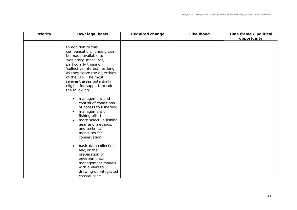| Priority | Law/legal basis                                                                                                                                                                                                                                                                                                                                                                 | <b>Required change</b> | Likelihood | Time frame / political |
|----------|---------------------------------------------------------------------------------------------------------------------------------------------------------------------------------------------------------------------------------------------------------------------------------------------------------------------------------------------------------------------------------|------------------------|------------|------------------------|
|          |                                                                                                                                                                                                                                                                                                                                                                                 |                        |            | opportunity            |
|          | In addition to this<br>compensation, funding can<br>be made available to<br>'voluntary' measures,<br>particularly those of<br>'collective interest', as long<br>as they serve the objectives<br>of the CFP. The most<br>relevant areas potentially<br>eligible for support include<br>the following:<br>management and<br>٠<br>control of conditions<br>of access to fisheries; |                        |            |                        |
|          | management of<br>$\bullet$<br>fishing effort;<br>more selective fishing<br>$\bullet$<br>gear and methods,<br>and technical<br>measures for<br>conservation;                                                                                                                                                                                                                     |                        |            |                        |
|          | basic data collection<br>$\bullet$<br>and/or the<br>preparation of<br>environmental<br>management models<br>with a view to<br>drawing up integrated<br>coastal zone                                                                                                                                                                                                             |                        |            |                        |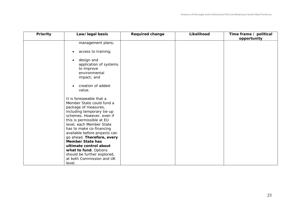| <b>Priority</b> | Law/legal basis                                                                                                                                                                                                                                                                                                                                                                                                                                  | <b>Required change</b> | Likelihood | Time frame / political |
|-----------------|--------------------------------------------------------------------------------------------------------------------------------------------------------------------------------------------------------------------------------------------------------------------------------------------------------------------------------------------------------------------------------------------------------------------------------------------------|------------------------|------------|------------------------|
|                 |                                                                                                                                                                                                                                                                                                                                                                                                                                                  |                        |            | opportunity            |
|                 | management plans;                                                                                                                                                                                                                                                                                                                                                                                                                                |                        |            |                        |
|                 | access to training;<br>$\bullet$                                                                                                                                                                                                                                                                                                                                                                                                                 |                        |            |                        |
|                 | design and<br>application of systems<br>to improve<br>environmental<br>impact; and<br>creation of added-<br>$\bullet$<br>value.                                                                                                                                                                                                                                                                                                                  |                        |            |                        |
|                 | It is foreseeable that a<br>Member State could fund a<br>package of measures,<br>including temporary tie-up<br>schemes. However, even if<br>this is permissible at EU<br>level, each Member State<br>has to make co-financing<br>available before projects can<br>go ahead. Therefore, every<br><b>Member State has</b><br>ultimate control about<br>what to fund. Options<br>should be further explored,<br>at both Commission and UK<br>level. |                        |            |                        |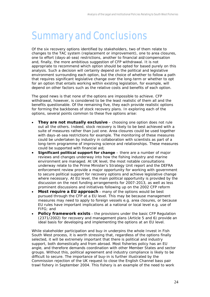### <span id="page-24-0"></span>Summary and Conclusions

Of the six recovery options identified by stakeholders, two of them relate to changes to the TAC system (replacement or improvement), one to area closures, one to effort (days-at-sea) restrictions, another to financial aid/compensation and, finally, the more ambitious suggestion of CFP withdrawal. It is not appropriate to recommend which option should be opted for based purely on this analysis. Such a decision will certainly depend on the political and legislative environment surrounding each option, but the choice of whether to follow a path that requires significant legislative change over the long-term or whether to opt for an option that entails working within existing legislation, for example, will depend on other factors such as the relative costs and benefits of each option.

The good news is that none of the options are impossible to achieve. CFP withdrawal, however, is considered to be the least realistic of them all and the benefits questionable. Of the remaining five, they each provide realistic options for forming the backbones of stock recovery plans. In exploring each of the options, several points common to these five options arise:

- *They are not mutually exclusive* choosing one option does not rule out all the others. Indeed, stock recovery is likely to be best achieved with a suite of measures rather than just one. Area closures could be used together with days-at-sea restrictions for example. The monitoring of these measures could be undertaken by industry in collaboration with scientists as part of a long-term programme of improving science and relationships. These measures could be supported with financial aid;
- *Significant political support for change* there are a number of major reviews and changes underway into how the fishing industry and marine environment are managed. At UK level, the most notable consultations underway relate to the Prime Minister's Strategy Unit report and the DEFRA enforcement review provide a major opportunity for working with government to secure political support for recovery options and achieve legislative change where necessary. At EU level, the main political opportunity is provided by the discussion on the next funding arrangements for 2007-2013, as well as less prominent discussions and initiatives following up on the 2002 CFP reform
- *Most require a EU approach* many of the options would be best pursued through the CFP at a EU level. This may be because management measures may need to apply to foreign vessels e.g. area closures, or because EU rules have important implications at a national or local level e.g. use of FIFG; and
- **Policy framework exists** the provisions under the basic CFP Regulation (2371/2002) for recovery and management plans (Article 5 and 6) provide an ideal basis for developing and implementing the options at an EU level.

While stakeholder participation and buy-in underpins the whole Invest in Fish South West process, it is worth stressing that, regardless of the options finally selected, it will be extremely important that there is political and industry support, both domestically and from abroad. Most fisheries policy has an EU angle, and therefore demands coordination with other Member States and sector groups. Without this, political agreement and industry compliance is likely to be difficult to secure. The importance of buy-in is further illustrated by the Commission rejection of the UK request to close the English Channel bass pair trawl fishery in September 2004. This fishery is an example of the need to work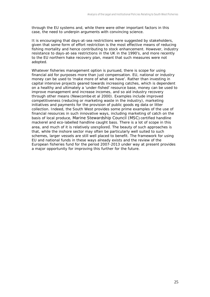through the EU systems and, while there were other important factors in this case, the need to underpin arguments with convincing science.

It is encouraging that days-at-sea restrictions were suggested by stakeholders, given that some form of effort restriction is the most effective means of reducing fishing mortality and hence contributing to stock enhancement. However, industry resistance to days-at-sea restrictions in the UK in the 1990's, and more recently to the EU northern hake recovery plan, meant that such measures were not adopted.

Whatever fisheries management option is pursued, there is scope for using financial aid for purposes more than just compensation. EU, national or industry money can be used to 'make more of what we have'. Rather than investing in capital intensive projects geared towards increasing catches, which is dependent on a healthy and ultimately a 'under-fished' resource base, money can be used to improve management and increase incomes, and so aid *industry* recovery through other means (Newcombe *et al* 2000). Examples include improved competitiveness (reducing or marketing waste in the industry), marketing initiatives and payments for the provision of public goods eg data or litter collection. Indeed, the South West provides some prime examples of the use of financial resources in such innovative ways, including marketing of catch on the basis of local produce, Marine Stewardship Council (MSC) certified handline mackerel and eco-labelled handline caught bass. There is a lot of scope in this area, and much of it is relatively unexplored. The beauty of such approaches is that, while the inshore sector may often be particularly well suited to such schemes, larger vessels are still well placed to benefit. The framework for using EU and national funds in these ways already exists and the review of the European fisheries fund for the period 2007-2013 under way at present provides a major opportunity for improving this further for the future.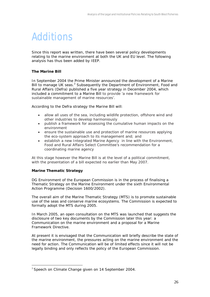### <span id="page-26-0"></span>Additions

Since this report was written, there have been several policy developments relating to the marine environment at both the UK and EU level. The following analysis has thus been added by IEEP.

#### **The Marine Bill**

In September 2004 the Prime Minister announced the development of a Marine Bill to manage UK seas.<sup>3</sup> Subsequently the Department of Environment, Food and Rural Affairs (Defra) published a five year strategy in December 2004, which included a commitment to a Marine Bill to provide 'a new framework for sustainable management of marine resources'.

According to the Defra strategy the Marine Bill will:

- allow all uses of the sea, including wildlife protection, offshore wind and other industries to develop harmoniously
- publish a framework for assessing the cumulative human impacts on the environment
- ensure the sustainable use and protection of marine resources applying the eco-system approach to its management and; and
- establish a new Integrated Marine Agency in line with the Environment, Food and Rural Affairs Select Committee's recommendation for a coordinating marine agency

At this stage however the Marine Bill is at the level of a political commitment, with the presentation of a bill expected no earlier than May 2007.

#### **Marine Thematic Strategy**

 $\overline{a}$ 

DG Environment of the European Commission is in the process of finalising a Thematic Strategy on the Marine Environment under the sixth Environmental Action Programme (Decision 1600/2002).

The overall aim of the Marine Thematic Strategy (MTS) is to promote sustainable use of the seas and conserve marine ecosystems. The Commission is expected to formally adopt the MTS during 2005.

In March 2005, an open consultation on the MTS was launched that suggests the disclosure of two key documents by the Commission later this year: a Communication on the marine environment and a proposal for a Marine Framework Directive.

At present it is envisaged that the Communication will briefly describe the state of the marine environment, the pressures acting on the marine environment and the need for action. The Communication will be of limited effects since it will not be legally binding and only reflects the policy of the European Commission.

<span id="page-26-1"></span><sup>&</sup>lt;sup>3</sup> Speech on Climate Change given on 14 September 2004.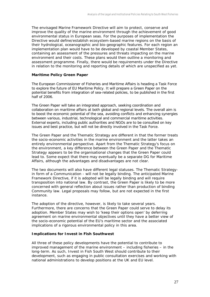<span id="page-27-0"></span>The envisaged Marine Framework Directive will aim to protect, conserve and improve the quality of the marine environment through the achievement of good environmental status in European seas. For the purposes of implementation the Directive would define/establish ecosystem-based marine regions on the basis of their hydrological, oceanographic and bio-geographic features. For each region an implementation plan would have to be developed by coastal Member States, containing an assessment of the pressures and threats impacting on the marine environment and their costs. These plans would then outline a monitoring and assessment programme. Finally, there would be requirements under the Directive in relation to the monitoring and reporting details of which are unspecified as yet.

#### **Maritime Policy Green Paper**

The European Commissioner of Fisheries and Maritime Affairs is heading a Task Force to explore the future of EU Maritime Policy. It will prepare a Green Paper on the potential benefits from integration of sea-related policies, to be published in the first half of 2006.

The Green Paper will take an integrated approach, seeking coordination and collaboration on maritime affairs at both global and regional levels. The overall aim is to boost the economic potential of the sea, avoiding conflicts and enhancing synergies between various, industrial, technological and commercial maritime activities. External experts, including public authorities and NGOs are to be consulted on key issues and best practice, but will not be directly involved in the Task Force.

The Green Paper and the Thematic Strategy are different in that the former treats the socio-economic activities in the marine environment and the latter takes an entirely environmental perspective. Apart from the Thematic Strategy's focus on the environment, a key difference between the Green Paper and the Thematic Strategy appears to be the organisational changes that the Green Paper could lead to. Some expect that there may eventually be a separate DG for Maritime Affairs, although the advantages and disadvantages are not clear.

The two documents will also have different legal statuses. The Thematic Strategyin form of a Communication - will not be legally binding. The anticipated Marine Framework Directive, if it is adopted will be legally binding and will require transposition into national law. By contrast, the Green Paper is likely to be more concerned with general reflection about issues rather than production of binding Community law. Legal proposals may follow, but are not expected in the first instance.

The adoption of the directive, however, is likely to take several years. Furthermore, there are concerns that the Green Paper could serve to delay its adoption. Member States may wish to 'keep their options open' by deferring agreement on marine environmental objectives until they have a better view of the socio-economic potential of the EU's maritime sector and the associated implications of a rigorous environmental policy in this area.

#### **Implications for Invest in Fish Southwest**

All three of these policy developments have the potential to contribute to improved management of the marine environment – including fisheries – in the long-term. As such, Invest in Fish South West should contribute to their development, such as engaging in public consultation exercises and working with national administrations to develop positions at the UK and EU level.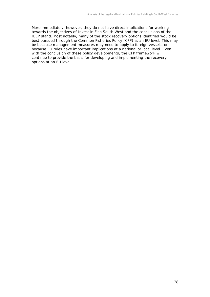More immediately, however, they do not have direct implications for working towards the objectives of Invest in Fish South West and the conclusions of the IEEP stand. Most notably, many of the stock recovery options identified would be best pursued through the Common Fisheries Policy (CFP) at an EU level. This may be because management measures may need to apply to foreign vessels, or because EU rules have important implications at a national or local level. Even with the conclusion of these policy developments, the CFP framework will continue to provide the basis for developing and implementing the recovery options at an EU level.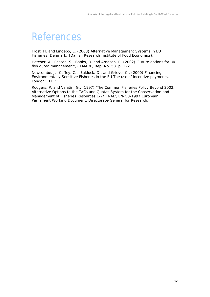### <span id="page-29-0"></span>References

Frost, H. and Lindebo, E. (2003) *Alternative Management Systems in EU Fisheries*, Denmark: (Danish Research Institute of Food Economics).

Hatcher, A., Pascoe, S., Banks, R. and Arnason, R. (2002) 'Future options for UK fish quota management', *CEMARE*, Rep. No. 58. p. 122.

Newcombe, J., Coffey, C., Baldock, D., and Grieve, C., (2000) *Financing Environmentally Sensitive Fisheries in the EU The use of incentive payments*, London: IEEP.

Rodgers, P. and Valatin, G., (1997) 'The Common Fisheries Policy Beyond 2002: Alternative Options to the TACs and Quotas System for the Conservation and Management of Fisheries Resources E-7/FINAL', *EN-O3-1997 European Parliament Working Document*, Directorate-General for Research.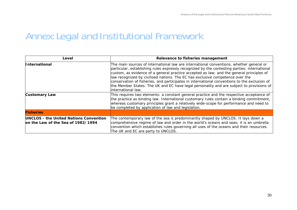#### Annex: Legal and Institutional Framework

<span id="page-30-0"></span>

| Level                                                                               | Relevance to fisheries management                                                                                                                                                                                                                                                                                                                                                                                                                                                                                                                                                      |
|-------------------------------------------------------------------------------------|----------------------------------------------------------------------------------------------------------------------------------------------------------------------------------------------------------------------------------------------------------------------------------------------------------------------------------------------------------------------------------------------------------------------------------------------------------------------------------------------------------------------------------------------------------------------------------------|
| <i><u><b>International</b></u></i>                                                  | The main sources of international law are international conventions, whether general or<br>particular, establishing rules expressly recognized by the contesting parties; international<br>custom, as evidence of a general practice accepted as law; and the general principles of<br>law recognized by civilised nations. The EC has exclusive competence over the<br>conservation of fisheries, and participates in international conventions to the exclusion of<br>the Member States. The UK and EC have legal personality and are subject to provisions of<br>international law. |
| <b>Customary Law</b>                                                                | This requires two elements: a constant general practice and the respective acceptance of<br>the practice as binding law. International customary rules contain a binding commitment,<br>whereas customary principles grant a relatively wide-scope for performance and need to<br>be completed by application of law and legislation.                                                                                                                                                                                                                                                  |
| <b>Fisheries</b>                                                                    |                                                                                                                                                                                                                                                                                                                                                                                                                                                                                                                                                                                        |
| <b>UNCLOS - the United Nations Convention</b><br>on the Law of the Sea of 1982/1994 | The contemporary law of the sea is predominantly shaped by UNCLOS. It lays down a<br>comprehensive regime of law and order in the world's oceans and seas; it is an umbrella<br>convention which establishes rules governing all uses of the oceans and their resources.<br>The UK and EC are party to UNCLOS.                                                                                                                                                                                                                                                                         |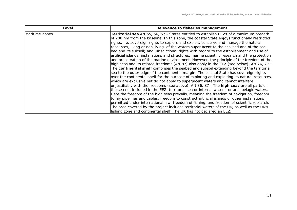| Level          | Relevance to fisheries management                                                                     |
|----------------|-------------------------------------------------------------------------------------------------------|
| Maritime Zones | <b>Territorial sea</b> Art 55, 56, 57 - States entitled to establish <b>EEZs</b> of a maximum breadth |
|                | of 200 nm from the baseline. In this zone, the coastal State enjoys functionally restricted           |
|                | rights, i.e. sovereign rights to explore and exploit, conserve and manage the natural                 |
|                | resources, living or non-living, of the waters superjacent to the sea-bed and of the sea-             |
|                | bed and its subsoil; and jurisdictional rights with regard to the establishment and use of            |
|                | artificial islands, installations and structures, marine scientific research and the protection       |
|                | and preservation of the marine environment. However, the principle of the freedom of the              |
|                | high seas and its related freedoms (Art 87) also apply in the EEZ (see below). Art 76, 77 -           |
|                | The continental shelf comprises the seabed and subsoil extending beyond the territorial               |
|                | sea to the outer edge of the continental margin. The coastal State has sovereign rights               |
|                | over the continental shelf for the purpose of exploring and exploiting its natural resources,         |
|                | which are exclusive but do not apply to superjacent waters and cannot interfere                       |
|                | unjustifiably with the freedoms (see above). Art 86, 87 - The <b>high seas</b> are all parts of       |
|                | the sea not included in the EEZ, territorial sea or internal waters, or archipelagic waters.          |
|                | Here the freedom of the high seas prevails, meaning the freedom of navigation, freedom                |
|                | to lay pipelines and cables, freedom to construct artificial islands or other installations           |
|                | permitted under international law, freedom of fishing, and freedom of scientific research.            |
|                | The area covered by the project includes territorial waters of the UK, as well as the UK's            |
|                | fishing zone and continental shelf. The UK has not declared an EEZ.                                   |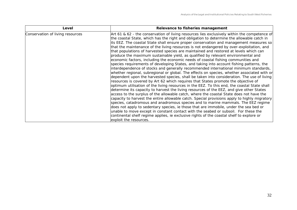| Level                            | Relevance to fisheries management                                                            |
|----------------------------------|----------------------------------------------------------------------------------------------|
| Conservation of living resources | Art 61 & 62 - the conservation of living resources lies exclusively within the competence of |
|                                  | the coastal State, which has the right and obligation to determine the allowable catch in    |
|                                  | its EEZ. The coastal State shall ensure proper conservation and management measures so       |
|                                  | that the maintenance of the living resources is not endangered by over-exploitation, and     |
|                                  | that populations of harvested species are maintained and restored at levels which can        |
|                                  | produce the maximum sustainable yield, as qualified by relevant environmental and            |
|                                  | economic factors, including the economic needs of coastal fishing communities and            |
|                                  | species requirements of developing States, and taking into account fishing patterns, the     |
|                                  | interdependence of stocks and generally recommended international minimum standards,         |
|                                  | whether regional, subregional or global. The effects on species, whether associated with or  |
|                                  | dependent upon the harvested species, shall be taken into consideration. The use of living   |
|                                  | resources is covered by Art 62 which requires that States promote the objective of           |
|                                  | optimum utilisation of the living resources in the EEZ. To this end, the coastal State shall |
|                                  | determine its capacity to harvest the living resources of the EEZ, and give other States     |
|                                  | access to the surplus of the allowable catch, where the coastal State does not have the      |
|                                  | capacity to harvest the entire allowable catch. Special provisions apply to highly migratory |
|                                  | species, catadromous and anadromous species and to marine mammals. The EEZ regime            |
|                                  | does not apply to sedentary species, ie those that are immobile, under the sea bed or        |
|                                  | unable to move except in constant contact with the seabed or subsoil. For these the          |
|                                  | continental shelf regime applies, ie exclusive rights of the coastal shelf to explore or     |
|                                  | exploit the resources.                                                                       |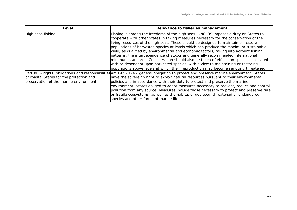| Level                                                                              | Relevance to fisheries management                                                                                                                                                                                                                                                                                                                                                                                                                                                                                                                                                                                                                                                                                                                                                                             |
|------------------------------------------------------------------------------------|---------------------------------------------------------------------------------------------------------------------------------------------------------------------------------------------------------------------------------------------------------------------------------------------------------------------------------------------------------------------------------------------------------------------------------------------------------------------------------------------------------------------------------------------------------------------------------------------------------------------------------------------------------------------------------------------------------------------------------------------------------------------------------------------------------------|
| High seas fishing                                                                  | Fishing is among the freedoms of the high seas. UNCLOS imposes a duty on States to<br>cooperate with other States in taking measures necessary for the conservation of the<br>living resources of the high seas. These should be designed to maintain or restore<br>populations of harvested species at levels which can produce the maximum sustainable<br>yield, as qualified by environmental and economic factors, taking into account fishing<br>patterns, the interdependence of stocks and generally recommended international<br>minimum standards. Consideration should also be taken of effects on species associated<br>with or dependent upon harvested species, with a view to maintaining or restoring<br>populations above levels at which their reproduction may become seriously threatened. |
| of coastal States for the protection and<br>preservation of the marine environment | Part XII - rights, obligations and responsibilities Art 192 - 194 - general obligation to protect and preserve marine environment. States<br>have the sovereign right to exploit natural resources pursuant to their environmental<br>policies and in accordance with their duty to protect and preserve the marine<br>environment. States obliged to adopt measures necessary to prevent, reduce and control<br>pollution from any source. Measures include those necessary to protect and preserve rare<br>or fragile ecosystems, as well as the habitat of depleted, threatened or endangered<br>species and other forms of marine life.                                                                                                                                                                   |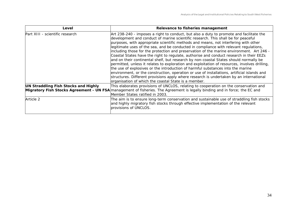| Level                                | Relevance to fisheries management                                                                                                                                                                                                                                                                                                                                                                                                                                                                                                                                                                                                                                                                                                                                                                                                                                                                                                                                                                                                                                                  |
|--------------------------------------|------------------------------------------------------------------------------------------------------------------------------------------------------------------------------------------------------------------------------------------------------------------------------------------------------------------------------------------------------------------------------------------------------------------------------------------------------------------------------------------------------------------------------------------------------------------------------------------------------------------------------------------------------------------------------------------------------------------------------------------------------------------------------------------------------------------------------------------------------------------------------------------------------------------------------------------------------------------------------------------------------------------------------------------------------------------------------------|
| Part XIII - scientific research      | Art 238-240 - imposes a right to conduct, but also a duty to promote and facilitate the<br>development and conduct of marine scientific research. This shall be for peaceful<br>purposes, with appropriate scientific methods and means, not interfering with other<br>legitimate uses of the sea, and be conducted in compliance with relevant regulations,<br>including those for the protection and preservation of the marine environment. Art 246 -<br>Coastal States have the right to regulate, authorise and conduct research in their EEZs<br>and on their continental shelf, but research by non-coastal States should normally be<br>permitted, unless it relates to exploration and exploitation of resources, involves drilling,<br>the use of explosives or the introduction of harmful substances into the marine<br>environment, or the construction, operation or use of installations, artificial islands and<br>structures. Different provisions apply where research is undertaken by an international<br>organisation of which the coastal State is a member. |
| UN Straddling Fish Stocks and Highly | This elaborates provisions of UNCLOS, relating to cooperation on the conservation and<br>Migratory Fish Stocks Agreement - UN FSA management of fisheries. The Agreement is legally binding and in force; the EC and<br>Member States ratified in 2003.                                                                                                                                                                                                                                                                                                                                                                                                                                                                                                                                                                                                                                                                                                                                                                                                                            |
| Article 2                            | The aim is to ensure long-term conservation and sustainable use of straddling fish stocks<br>and highly migratory fish stocks through effective implementation of the relevant<br>provisions of UNCLOS.                                                                                                                                                                                                                                                                                                                                                                                                                                                                                                                                                                                                                                                                                                                                                                                                                                                                            |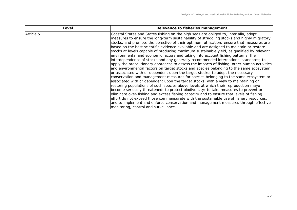| Level     | Relevance to fisheries management                                                                                                                                                                                                                                                                                                                                                                                                                                                                                                                                                                                                                                                                                                                                                                                                                                                                                                                                                                                                                                                                                                                                                                                                                                                                                                                                                                                                                                           |
|-----------|-----------------------------------------------------------------------------------------------------------------------------------------------------------------------------------------------------------------------------------------------------------------------------------------------------------------------------------------------------------------------------------------------------------------------------------------------------------------------------------------------------------------------------------------------------------------------------------------------------------------------------------------------------------------------------------------------------------------------------------------------------------------------------------------------------------------------------------------------------------------------------------------------------------------------------------------------------------------------------------------------------------------------------------------------------------------------------------------------------------------------------------------------------------------------------------------------------------------------------------------------------------------------------------------------------------------------------------------------------------------------------------------------------------------------------------------------------------------------------|
| Article 5 | Coastal States and States fishing on the high seas are obliged to, inter alia, adopt<br>measures to ensure the long-term sustainability of straddling stocks and highly migratory<br>stocks, and promote the objective of their optimum utilisation; ensure that measures are<br>based on the best scientific evidence available and are designed to maintain or restore<br>stocks at levels capable of producing maximum sustainable yield, as qualified by relevant<br>environmental and economic factors and taking into account fishing patterns, the<br>interdependence of stocks and any generally recommended international standards; to<br>apply the precautionary approach; to assess the impacts of fishing, other human activities<br>and environmental factors on target stocks and species belonging to the same ecosystem<br>or associated with or dependent upon the target stocks; to adopt the necessary<br>conservation and management measures for species belonging to the same ecosystem or<br>associated with or dependent upon the target stocks, with a view to maintaining or<br>restoring populations of such species above levels at which their reproduction mayo<br>become seriously threatened; to protect biodiversity; to take measures to prevent or<br>eliminate over-fishing and excess fishing capacity and to ensure that levels of fishing<br>effort do not exceed those commensurate with the sustainable use of fishery resources; |
|           | and to implement and enforce conservation and management measures through effective                                                                                                                                                                                                                                                                                                                                                                                                                                                                                                                                                                                                                                                                                                                                                                                                                                                                                                                                                                                                                                                                                                                                                                                                                                                                                                                                                                                         |
|           | monitoring, control and surveillance.                                                                                                                                                                                                                                                                                                                                                                                                                                                                                                                                                                                                                                                                                                                                                                                                                                                                                                                                                                                                                                                                                                                                                                                                                                                                                                                                                                                                                                       |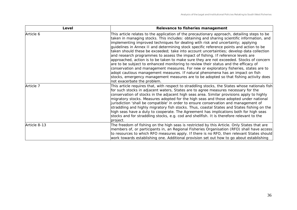| Level        | Relevance to fisheries management                                                                                                                                                                                                                                                                                                                                                                                                                                                                                                                                                                                                                                                                                                                                                                                                                                                                                                                                                                                                              |
|--------------|------------------------------------------------------------------------------------------------------------------------------------------------------------------------------------------------------------------------------------------------------------------------------------------------------------------------------------------------------------------------------------------------------------------------------------------------------------------------------------------------------------------------------------------------------------------------------------------------------------------------------------------------------------------------------------------------------------------------------------------------------------------------------------------------------------------------------------------------------------------------------------------------------------------------------------------------------------------------------------------------------------------------------------------------|
| Article 6    | This article relates to the application of the precautionary approach, detailing steps to be<br>taken in managing stocks. This includes: obtaining and sharing scientific information, and<br>implementing improved techniques for dealing with risk and uncertainty; applying<br>quidelines in Annex II and determining stock specific reference points and action to be<br>taken should these be exceeded; take into account uncertainties; develop data collection<br>and research programmes to assess the impact of fishing. If reference levels are<br>approached, action is to be taken to make sure they are not exceeded. Stocks of concern<br>are to be subject to enhanced monitoring to review their status and the efficacy of<br>conservation and management measures. For new or exploratory fisheries, states are to<br>adopt cautious management measures. If natural phenomena has an impact on fish<br>stocks, emergency management measures are to be adopted so that fishing activity does<br>not exacerbate the problem. |
| Article 7    | This article requires that, with respect to straddling stocks, the States whose nationals fish<br>for such stocks in adjacent waters, States are to agree measures necessary for the<br>conservation of stocks in the adjacent high seas area. Similar provisions apply to highly<br>migratory stocks. Measures adopted for the high seas and those adopted under national<br>jurisdiction 'shall be compatible' in order to ensure conservation and management of<br>straddling and highly migratory fish stocks. Thus, coastal States and States fishing on the<br>high seas have a duty to cooperate. The Agreement has implications both for high seas<br>stocks and for straddling stocks, e.g. cod and shellfish. It is therefore relevant to the<br>project.                                                                                                                                                                                                                                                                            |
| Article 8-13 | The freedom of fishing on the high seas is restricted by this Article. Only States that are<br>members of, or participants in, an Regional Fisheries Organisation (RFO) shall have access<br>to resources to which RFO measures apply. If there is no RFO, then relevant States should<br>work towards establishing one. Additional provision set out how to go about establishing                                                                                                                                                                                                                                                                                                                                                                                                                                                                                                                                                                                                                                                             |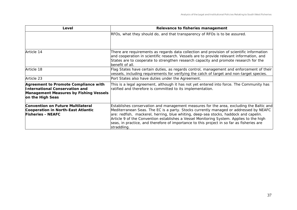| Level                                                                                                                                              | Relevance to fisheries management                                                                                                                                                                                                                                                                                                                                                                                                                                               |
|----------------------------------------------------------------------------------------------------------------------------------------------------|---------------------------------------------------------------------------------------------------------------------------------------------------------------------------------------------------------------------------------------------------------------------------------------------------------------------------------------------------------------------------------------------------------------------------------------------------------------------------------|
|                                                                                                                                                    | RFOs, what they should do, and that transparency of RFOs is to be assured.                                                                                                                                                                                                                                                                                                                                                                                                      |
| Article 14                                                                                                                                         | There are requirements as regards data collection and provision of scientific information<br>and cooperation in scientific research. Vessels are to provide relevant information, and<br>States are to cooperate to strengthen research capacity and promote research for the<br>benefit of all.                                                                                                                                                                                |
| Article 18                                                                                                                                         | Flag States have certain duties, as regards control, management and enforcement of their<br>vessels, including requirements for verifying the catch of target and non-target species.                                                                                                                                                                                                                                                                                           |
| Article 23                                                                                                                                         | Port States also have duties under the Agreement.                                                                                                                                                                                                                                                                                                                                                                                                                               |
| Agreement to Promote Compliance with<br><b>International Conservation and</b><br><b>Management Measures by Fishing Vessels</b><br>on the High Seas | This is a legal agreement, although it has not yet entered into force. The Community has<br>ratified and therefore is committed to its implementation.                                                                                                                                                                                                                                                                                                                          |
| <b>Convention on Future Multilateral</b><br>Cooperation in North-East Atlantic<br><b>Fisheries - NEAFC</b>                                         | Establishes conservation and management measures for the area, excluding the Baltic and<br>Mediterranean Seas. The EC is a party. Stocks currently managed or addressed by NEAFC<br>are: redfish, mackerel, herring, blue whiting, deep-sea stocks, haddock and capelin.<br>Article 9 of the Convention establishes a Vessel Monitoring System. Applies to the high<br>seas, in practice, and therefore of importance to this project in so far as fisheries are<br>straddling. |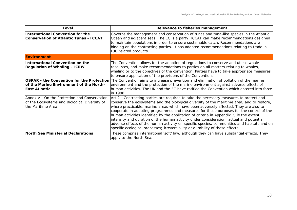| Level                                                                                                              | Relevance to fisheries management                                                                                                                                                                                                                                                                                                                                                                                                                                                                                                                                                                                                                                                                                                             |
|--------------------------------------------------------------------------------------------------------------------|-----------------------------------------------------------------------------------------------------------------------------------------------------------------------------------------------------------------------------------------------------------------------------------------------------------------------------------------------------------------------------------------------------------------------------------------------------------------------------------------------------------------------------------------------------------------------------------------------------------------------------------------------------------------------------------------------------------------------------------------------|
| International Convention for the<br><b>Conservation of Atlantic Tunas - ICCAT</b>                                  | Governs the management and conservation of tunas and tuna-like species in the Atlantic<br>Ocean and adjacent seas. The EC is a party. ICCAT can make recommendations designed<br>to maintain populations in order to ensure sustainable catch. Recommendations are<br>binding on the contracting parties. It has adopted recommendations relating to trade in<br><b>IUU</b> related products.                                                                                                                                                                                                                                                                                                                                                 |
| <b>Environment</b>                                                                                                 |                                                                                                                                                                                                                                                                                                                                                                                                                                                                                                                                                                                                                                                                                                                                               |
| International Convention on the<br><b>Regulation of Whaling - ICRW</b>                                             | The Convention allows for the adoption of regulations to conserve and utilise whale<br>resources, and make recommendations to parties on all matters relating to whales,<br>whaling or to the objectives of the convention. Parties have to take appropriate measures<br>to ensure application of the provisions of the Convention.                                                                                                                                                                                                                                                                                                                                                                                                           |
| of the Marine Environment of the North-<br>East Atlantic                                                           | OSPAR - the Convention for the Protection The Convention aims to increase prevention and elimination of pollution of the marine<br>environment and the protection of the marine environment against adverse effects of<br>human activities. The UK and the EC have ratified the Convention which entered into force<br>in 1998.                                                                                                                                                                                                                                                                                                                                                                                                               |
| Annex V - On the Protection and Conservation<br>of the Ecosystems and Biological Diversity of<br>the Maritime Area | Art 2 - Contracting parties are required to take the necessary measures to protect and<br>conserve the ecosystems and the biological diversity of the maritime area, and to restore,<br>where practicable, marine areas which have been adversely affected. They are also to<br>cooperate in adopting programmes and measures for those purposes for the control of the<br>human activities identified by the application of criteria in Appendix 3, ie the extent,<br>intensity and duration of the human activity under consideration; actual and potential<br>adverse effects of the human activity on specific species, communities and habitats and on<br>specific ecological processes; irreversibility or durability of these effects. |
| North Sea Ministerial Declarations                                                                                 | These comprise international 'soft' law, although they can have substantial effects. They<br>apply to the North Sea.                                                                                                                                                                                                                                                                                                                                                                                                                                                                                                                                                                                                                          |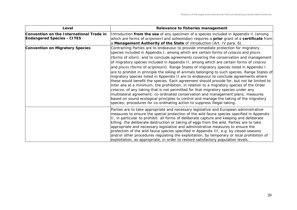| Level                                                                         | Relevance to fisheries management                                                                                                                                                                                                                                                                                                                                                                                                                                                                                                                                                                                                                                                                                                                                                                                                                                                                                                                                                                                                                                                                                                                                                                                                                |  |
|-------------------------------------------------------------------------------|--------------------------------------------------------------------------------------------------------------------------------------------------------------------------------------------------------------------------------------------------------------------------------------------------------------------------------------------------------------------------------------------------------------------------------------------------------------------------------------------------------------------------------------------------------------------------------------------------------------------------------------------------------------------------------------------------------------------------------------------------------------------------------------------------------------------------------------------------------------------------------------------------------------------------------------------------------------------------------------------------------------------------------------------------------------------------------------------------------------------------------------------------------------------------------------------------------------------------------------------------|--|
| Convention on the International Trade in<br><b>Endangered Species - CITES</b> | Introduction from the sea of any specimen of a species included in Appendix II (among<br>which are forms of <i>acipenseri</i> and <i>salmonidae</i> ) requires a <b>prior</b> grant of a <b>certificate</b> from<br>a Management Authority of the State of introduction (Art. IV para. 6).                                                                                                                                                                                                                                                                                                                                                                                                                                                                                                                                                                                                                                                                                                                                                                                                                                                                                                                                                       |  |
| <b>Convention on Migratory Species</b>                                        | Contracting Parties are to endeavour to provide immediate protection for migratory<br>species included in Appendix I, among which are certain forms of <i>cetacea</i> and <i>pisces</i><br>(forms of <i>siluri</i> ), and to conclude agreements covering the conservation and management<br>of migratory species included in Appendix II, among which are certain forms of <i>cetacea</i><br>and <i>pisces</i> (forms of <i>acipenseri</i> ). Range States of migratory species listed in Appendix I<br>are to prohibit in principle the <i>taking</i> of animals belonging to such species. Range States of<br>migratory species listed in Appendix II are to endeavour to conclude agreements where<br>these would benefit the species. Each agreement should provide for, but not be limited to<br>linter alia at a minimum, the prohibition, in relation to a migratory species of the Order<br>cetacea, of any taking that is not permitted for that migratory species under any<br>multilateral agreement; co-ordinated conservation and management plans; measures<br>based on sound ecological principles to control and manage the taking of the migratory<br>species; procedures for co-ordinating action to suppress illegal taking. |  |
|                                                                               | Parties are to take appropriate and necessary legislative and European administrative<br>measures to ensure the special protection of the wild fauna species specified in Appendix<br>II, in particular to prohibit: all forms of deliberate capture and keeping and deliberate<br>killing; the deliberate destruction or taking of eggs from the wild. Parties are to take<br>appropriate and necessary legislative and administrative measures to ensure the<br>protection of the wild fauna species specified in Appendix III, e.g. by closed seasons<br>and/or other procedures regulating the exploitation, by temporary or local prohibition of<br>exploitation, as appropriate, in order to restore satisfactory population levels.                                                                                                                                                                                                                                                                                                                                                                                                                                                                                                       |  |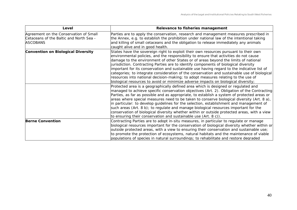| Level                                                                                                | Relevance to fisheries management                                                                                                                                                                                                                                                                                                                                                                                                                                                                                                                                                                                                                                                                                                     |
|------------------------------------------------------------------------------------------------------|---------------------------------------------------------------------------------------------------------------------------------------------------------------------------------------------------------------------------------------------------------------------------------------------------------------------------------------------------------------------------------------------------------------------------------------------------------------------------------------------------------------------------------------------------------------------------------------------------------------------------------------------------------------------------------------------------------------------------------------|
| Agreement on the Conservation of Small<br>Cetaceans of the Baltic and North Sea -<br><b>ASCOBANS</b> | Parties are to apply the conservation, research and management measures prescribed in<br>the Annex, e.g. to establish the prohibition under national law of the intentional taking<br>and killing of small cetaceans and the obligation to release immediately any animals<br>caught alive and in good health.                                                                                                                                                                                                                                                                                                                                                                                                                        |
| <b>Convention on Biological Diversity</b>                                                            | States have the sovereign right to exploit their own resources pursuant to their own<br>environmental policies, and the responsibility to ensure that activities do not cause<br>damage to the environment of other States or of areas beyond the limits of national<br>jurisdiction. Contracting Parties are to identify components of biological diversity<br>important for its conservation and sustainable use having regard to the indicative list of<br>categories; to integrate consideration of the conservation and sustainable use of biological<br>resources into national decision-making; to adopt measures relating to the use of<br>biological resources to avoid or minimize adverse impacts on biological diversity; |
|                                                                                                      | Protected area is a geographically defined area which is designed or regulated and<br>managed to achieve specific conservation objectives (Art. 2). Obligation of the Contracting<br>Parties, as far as possible and as appropriate, to establish a system of protected areas or<br>areas where special measures need to be taken to conserve biological diversity (Art. 8 a),<br>in particular: to develop guidelines for the selection, establishment and management of<br>such areas (Art. 8 b); to regulate and manage biological resources important for the<br>conservation of biological diversity whether within or outside protected areas, with a view<br>to ensuring their conservation and sustainable use (Art. 8 c)).   |
| <b>Berne Convention</b>                                                                              | Contracting Parties are to adopt in-situ measures, in particular to regulate or manage<br>biological resources important for the conservation of biological diversity whether within or<br>outside protected areas, with a view to ensuring their conservation and sustainable use;<br>to promote the protection of ecosystems, natural habitats and the maintenance of viable<br>populations of species in natural surroundings; to rehabilitate and restore degraded                                                                                                                                                                                                                                                                |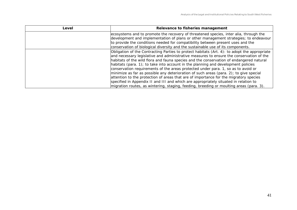| Level | Relevance to fisheries management                                                              |  |
|-------|------------------------------------------------------------------------------------------------|--|
|       | ecosystems and to promote the recovery of threatened species, inter alia, through the          |  |
|       | development and implementation of plans or other management strategies; to endeavour           |  |
|       | to provide the conditions needed for compatibility between present uses and the                |  |
|       | conservation of biological diversity and the sustainable use of its components.                |  |
|       | Obligation of the Contracting Parties to protect habitats (Art. 4): to adopt the appropriate   |  |
|       | and necessary legislative and administrative measures to ensure the conservation of the        |  |
|       | habitats of the wild flora and fauna species and the conservation of endangered natural        |  |
|       | habitats (para. 1); to take into account in the planning and development policies              |  |
|       | conservation requirements of the areas protected under para. 1, so as to avoid or              |  |
|       | $\vert$ minimize as far as possible any deterioration of such areas (para. 2); to give special |  |
|       | attention to the protection of areas that are of importance for the migratory species          |  |
|       | specified in Appendix II and III and which are appropriately situated in relation to           |  |
|       | migration routes, as wintering, staging, feeding, breeding or moulting areas (para. 3).        |  |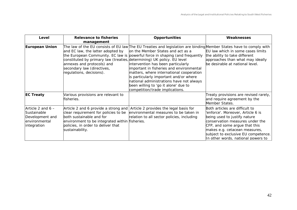| Level                                                                                 | <b>Relevance to fisheries</b><br>management                                                                                                                                                                         | Opportunities                                                                                                                                                                                                                                                                                                                                                                                                                                                                                                                         | Weaknesses                                                                                                                                                                                                                                                                            |
|---------------------------------------------------------------------------------------|---------------------------------------------------------------------------------------------------------------------------------------------------------------------------------------------------------------------|---------------------------------------------------------------------------------------------------------------------------------------------------------------------------------------------------------------------------------------------------------------------------------------------------------------------------------------------------------------------------------------------------------------------------------------------------------------------------------------------------------------------------------------|---------------------------------------------------------------------------------------------------------------------------------------------------------------------------------------------------------------------------------------------------------------------------------------|
| <b>European Union</b>                                                                 | and EC law, the latter adopted by<br>constituted by primary law (treaties, determining) UK policy. EU level<br>annexes and protocols) and<br>secondary law (directives,<br>regulations, decisions).                 | The law of the EU consists of EU law The EU Treaties and legislation are binding Member States have to comply with<br>on the Member States and act as a<br>the European Community. EC law is powerful force in shaping (and frequently<br>intervention has been particularly<br>important in fisheries and environmental<br>matters, where international cooperation<br>is particularly important and/or where<br>national administrations have not always<br>been willing to 'go it alone' due to<br>competition/trade implications. | EU law which in some cases limits<br>the ability to take different<br>approaches than what may ideally<br>be desirable at national level.                                                                                                                                             |
| <b>EC Treaty</b>                                                                      | Various provisions are relevant to<br>fisheries.                                                                                                                                                                    |                                                                                                                                                                                                                                                                                                                                                                                                                                                                                                                                       | Treaty provisions are revised rarely,<br>and require agreement by the<br>Member States.                                                                                                                                                                                               |
| Article 2 and $6 -$<br>Sustainable<br>Development and<br>environmental<br>integration | Article 2 and 6 provide a strong and<br>clear requirement for policies to be<br>both sustainable and for<br>environment to be integrated within fisheries.<br>policies, in order to deliver that<br>sustainability. | Article 2 provides the legal basis for<br>environmental measures to be taken in<br>relation to all sector policies, including                                                                                                                                                                                                                                                                                                                                                                                                         | Both articles are difficult to<br>'enforce'. Moreover, Article 6 is<br>being used to justify nature<br>conservation measures under the<br>CFP, and some argue that this<br>makes e.g. cetacean measures,<br>subject to exclusive EU competence.<br>In other words, national powers to |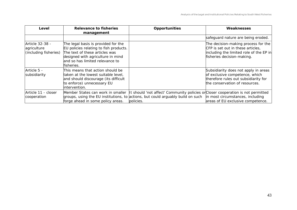| Level                                                   | <b>Relevance to fisheries</b><br>management                                                                                                                                                           | <b>Opportunities</b>                                                                                                                                                                                                                                  | Weaknesses                                                                                                                                        |
|---------------------------------------------------------|-------------------------------------------------------------------------------------------------------------------------------------------------------------------------------------------------------|-------------------------------------------------------------------------------------------------------------------------------------------------------------------------------------------------------------------------------------------------------|---------------------------------------------------------------------------------------------------------------------------------------------------|
|                                                         |                                                                                                                                                                                                       |                                                                                                                                                                                                                                                       | safeguard nature are being eroded.                                                                                                                |
| Article 32-38 -<br>agriculture<br>(including fisheries) | The legal basis is provided for the<br>EU policies relating to fish products.<br>The text of these articles was<br>designed with agriculture in mind<br>and so has limited relevance to<br>fisheries. |                                                                                                                                                                                                                                                       | The decision-making process for the<br>CFP is set out in these articles.<br>including the limited role of the EP in<br>fisheries decision-making. |
| Article 5 -<br>subsidiarity                             | This means that action should be<br>taken at the lowest suitable level,<br>and should discourage (its difficult<br>to enforce) unnecessary EU<br>intervention.                                        |                                                                                                                                                                                                                                                       | Subsidiarity does not apply in areas<br>of exclusive competence, which<br>therefore rules out subsidiarity for<br>the conservation of resources.  |
| Article 11 - closer<br>cooperation                      | forge ahead in some policy areas.                                                                                                                                                                     | Member States can work in smaller   It should 'not affect' Community policies or Closer cooperation is not permitted<br>groups, using the EU institutions, to actions, but could arguably build on such in most circumstances, including<br>policies. | areas of EU exclusive competence.                                                                                                                 |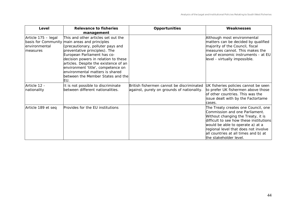| Level                                            | Relevance to fisheries<br>management                                                                                                                                                                                                                                                                                                                                                            | Opportunities                                                                           | Weaknesses                                                                                                                                                                                                                                                                                           |
|--------------------------------------------------|-------------------------------------------------------------------------------------------------------------------------------------------------------------------------------------------------------------------------------------------------------------------------------------------------------------------------------------------------------------------------------------------------|-----------------------------------------------------------------------------------------|------------------------------------------------------------------------------------------------------------------------------------------------------------------------------------------------------------------------------------------------------------------------------------------------------|
| Article 175 - legal<br>environmental<br>measures | This and other articles set out the<br>basis for Community main areas and principles<br>(precautionary, polluter pays and<br>preventative principles). The<br>European Parliament has co-<br>decision powers in relation to these<br>articles. Despite the existence of an<br>environment 'title', competence on<br>environmental matters is shared<br>between the Member States and the<br>EU. |                                                                                         | Although most environmental<br>matters can be decided by qualified<br>majority of the Council, fiscal<br>measures cannot. This makes the<br>use of economic instruments - at EU<br>level - virtually impossible.                                                                                     |
| Article 12 -<br>nationality                      | It is not possible to discriminate<br>between different nationalities.                                                                                                                                                                                                                                                                                                                          | British fishermen cannot be discriminated<br>against, purely on grounds of nationality. | UK fisheries policies cannot be seen<br>to prefer UK fishermen above those<br>of other countries. This was the<br>issue dealt with by the Factortame<br>cases.                                                                                                                                       |
| Article 189 et seq                               | Provides for the EU institutions                                                                                                                                                                                                                                                                                                                                                                |                                                                                         | The Treaty creates one Council, one<br>Commission and one Parliament.<br>Without changing the Treaty, it is<br>difficult to see how these institutions<br>would be able to operate a) at a<br>regional level that does not involve<br>all countries at all times and b) at<br>the stakeholder level. |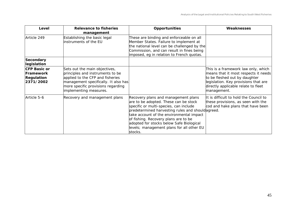| Level                                                                     | <b>Relevance to fisheries</b><br>management                                                                                                                                                                   | Opportunities                                                                                                                                                                                                                                                                                                                                                       | Weaknesses                                                                                                                                                                                                 |
|---------------------------------------------------------------------------|---------------------------------------------------------------------------------------------------------------------------------------------------------------------------------------------------------------|---------------------------------------------------------------------------------------------------------------------------------------------------------------------------------------------------------------------------------------------------------------------------------------------------------------------------------------------------------------------|------------------------------------------------------------------------------------------------------------------------------------------------------------------------------------------------------------|
| Article 249                                                               | Establishing the basic legal<br>instruments of the EU                                                                                                                                                         | These are binding and enforceable on all<br>Member States. Failure to implement at<br>the national level can be challenged by the<br>Commission, and can result in fines being<br>imposed, eg in relation to French quotas.                                                                                                                                         |                                                                                                                                                                                                            |
| <b>Secondary</b><br>legislation                                           |                                                                                                                                                                                                               |                                                                                                                                                                                                                                                                                                                                                                     |                                                                                                                                                                                                            |
| <b>CFP Basic or</b><br><b>Framework</b><br><b>Regulation</b><br>2371/2002 | Sets out the main objectives,<br>principles and instruments to be<br>applied to the CFP and fisheries<br>management specifically. It also has<br>more specific provisions regarding<br>implementing measures. |                                                                                                                                                                                                                                                                                                                                                                     | This is a framework law only, which<br>means that it most respects it needs<br>to be fleshed out by daughter<br>legislation. Key provisions that are<br>directly applicable relate to fleet<br>management. |
| Article 5-6                                                               | Recovery and management plans                                                                                                                                                                                 | Recovery plans and management plans<br>are to be adopted. These can be stock<br>specific or multi-species, can include<br>predetermined harvesting rules and should agreed.<br>take account of the environmental impact<br>of fishing. Recovery plans are to be<br>adopted for stocks below Safe Biological<br>levels; management plans for all other EU<br>stocks. | It is difficult to hold the Council to<br>these provisions, as seen with the<br>cod and hake plans that have been                                                                                          |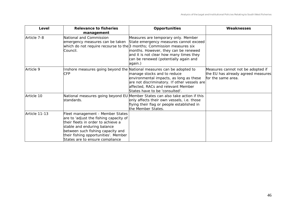| Level         | Relevance to fisheries<br>management                                                                                                                                                                                                                            | Opportunities                                                                                                                                                                                                                                                                                                                  | Weaknesses                                                                                    |
|---------------|-----------------------------------------------------------------------------------------------------------------------------------------------------------------------------------------------------------------------------------------------------------------|--------------------------------------------------------------------------------------------------------------------------------------------------------------------------------------------------------------------------------------------------------------------------------------------------------------------------------|-----------------------------------------------------------------------------------------------|
| Article 7-8   | National and Commission<br>Council.                                                                                                                                                                                                                             | Measures are temporary only. Member<br>emergency measures can be taken State emergency measures cannot exceed<br>which do not require recourse to the 3 months; Commission measures six<br>months. However, they can be renewed<br>and it is not clear how many times they<br>can be renewed (potentially again and<br>again.) |                                                                                               |
| Article 9     | <b>CFP</b>                                                                                                                                                                                                                                                      | Inshore measures going beyond the National measures can be adopted to<br>manage stocks and to reduce<br>environmental impacts, as long as these<br>are not discriminatory. If other vessels are<br>affected, RACs and relevant Member<br>States have to be 'consulted'.                                                        | Measures cannot not be adopted if<br>the EU has already agreed measures<br>for the same area. |
| Article 10    | standards.                                                                                                                                                                                                                                                      | National measures going beyond EU Member States can also take action if this<br>only affects their own vessels, i.e. those<br>flying their flag or people established in<br>the Member States.                                                                                                                                 |                                                                                               |
| Article 11-13 | Fleet management - Member States<br>are to 'adjust the fishing capacity of<br>their fleets in order to achieve a<br>stable and enduring balance<br>between such fishing capacity and<br>their fishing opportunities'. Member<br>States are to ensure compliance |                                                                                                                                                                                                                                                                                                                                |                                                                                               |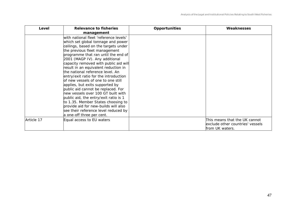| Level      | <b>Relevance to fisheries</b><br>management                                                                                                                                                                                                                                                                                                                                                                                                                                                                                                                                                                                                                                                                                                   | <b>Opportunities</b> | Weaknesses                                                                           |
|------------|-----------------------------------------------------------------------------------------------------------------------------------------------------------------------------------------------------------------------------------------------------------------------------------------------------------------------------------------------------------------------------------------------------------------------------------------------------------------------------------------------------------------------------------------------------------------------------------------------------------------------------------------------------------------------------------------------------------------------------------------------|----------------------|--------------------------------------------------------------------------------------|
|            | with national fleet 'reference levels'<br>which set global tonnage and power<br>ceilings, based on the targets under<br>the previous fleet management<br>programme that ran until the end of<br>2001 (MAGP IV). Any additional<br>capacity removed with public aid will<br>result in an equivalent reduction in<br>the national reference level. An<br>entry/exit ratio for the introduction<br>of new vessels of one to one still<br>applies, but exits supported by<br>public aid cannot be replaced. For<br>new vessels over 100 GT built with<br>public aid, the entry/exit ratio is 1<br>to 1.35. Member States choosing to<br>provide aid for new-builds will also<br>see their reference level reduced by<br>a one-off three per cent. |                      |                                                                                      |
| Article 17 | Equal access to EU waters                                                                                                                                                                                                                                                                                                                                                                                                                                                                                                                                                                                                                                                                                                                     |                      | This means that the UK cannot<br>exclude other countries' vessels<br>from UK waters. |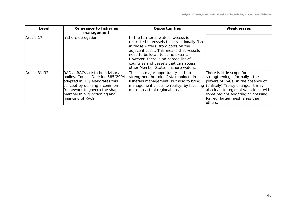| Level         | <b>Relevance to fisheries</b><br>management                                                                                                                                                                                   | <b>Opportunities</b>                                                                                                                                                                                                                                                                                                                | Weaknesses                                                                                                                                                                                                                    |
|---------------|-------------------------------------------------------------------------------------------------------------------------------------------------------------------------------------------------------------------------------|-------------------------------------------------------------------------------------------------------------------------------------------------------------------------------------------------------------------------------------------------------------------------------------------------------------------------------------|-------------------------------------------------------------------------------------------------------------------------------------------------------------------------------------------------------------------------------|
| Article 17    | Inshore derogation                                                                                                                                                                                                            | In the territorial waters, access is<br>restricted to vessels that traditionally fish<br>in those waters, from ports on the<br>adjacent coast. This means that vessels<br>need to be local, to some extent.<br>However, there is an agreed list of<br>countries and vessels that can access<br>other Member States' inshore waters. |                                                                                                                                                                                                                               |
| Article 31-32 | RACs - RACs are to be advisory<br>bodies. Council Decision 585/2004<br>adopted in July elaborates this<br>concept by defining a common<br>framework to govern the shape,<br>membership, functioning and<br>financing of RACs. | This is a major opportunity both to<br>strengthen the role of stakeholders in<br>fisheries management, but also to bring<br>management closer to reality, by focusing (unlikely) Treaty change. It may<br>more on actual regional areas.                                                                                            | There is little scope for<br>strengthening - formally - the<br>powers of RACs, in the absence of<br>also lead to regional variations, with<br>some regions adopting or pressing<br>for, eg, larger mesh sizes than<br>others. |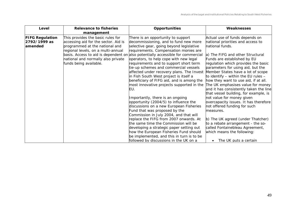| Level                                             | <b>Relevance to fisheries</b><br>management                                                                                                       | <b>Opportunities</b>                                                                                                                                                                                                                                                                                                                                                                                                                                           | Weaknesses                                                                                                                                                                                                                                                                                                                                         |
|---------------------------------------------------|---------------------------------------------------------------------------------------------------------------------------------------------------|----------------------------------------------------------------------------------------------------------------------------------------------------------------------------------------------------------------------------------------------------------------------------------------------------------------------------------------------------------------------------------------------------------------------------------------------------------------|----------------------------------------------------------------------------------------------------------------------------------------------------------------------------------------------------------------------------------------------------------------------------------------------------------------------------------------------------|
| <b>FIFG Regulation</b><br>2792/1999 as<br>amended | This provides the basic rules for<br>accessing aid for the sector. Aid is<br>programmed at the national and<br>regional levels, on a multi-annual | There is an opportunity to support<br>decommissioning, and to fund new more<br>selective gear, going beyond legislative<br>requirements. Compensation monies are                                                                                                                                                                                                                                                                                               | Actual use of funds depends on<br>national priorities and access to<br>national funds.                                                                                                                                                                                                                                                             |
|                                                   | national and normally also private<br>funds being available.                                                                                      | basis. Access to aid is dependent on also potentially accessible for commercial<br>operators, to help cope with new legal<br>requirements and to support short term<br>tie-up schemes and commercial vessels<br>affected under recovery plans. The Invest<br>in Fish South West project is itself a<br>beneficiary of FIFG aid, and is among the<br>most innovative projects supported in the<br>EU.                                                           | a) The FIFG and other Structural<br>Funds are established by EU<br>regulation which provides the basic<br>parameters for using aid, but the<br>Member States have a lot of scope<br>to identify $-$ within the EU rules $-$<br>how they want to use aid, if at all.<br>The UK emphasises value for money<br>and it has consistently taken the line |
|                                                   |                                                                                                                                                   | Importantly, there is an ongoing<br>opportunity (2004/5) to influence the<br>discussions on a new European Fisheries<br>Fund that was proposed by the<br>Commission in July 2004, and that will<br>replace the FIFG from 2007 onwards. At<br>the same time the Commission will be<br>developing a strategic paper setting out<br>how the European Fisheries Fund should<br>be implemented, and this in turn is to be<br>followed by discussions in the UK on a | that vessel building, for example, is<br>not value for money given<br>overcapacity issues. It has therefore<br>not offered funding for such<br>measures.<br>b) The UK agreed (under Thatcher)<br>to a rebate arrangement - the so-<br>called Fontainebleau Agreement,<br>which means the following:<br>The UK puts a certain                       |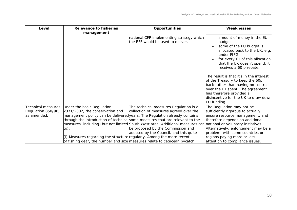| management                                                            | <b>Opportunities</b>                                                             | Weaknesses                                                                                                                                                                                                                                                                                                                                                                                                                                                                                                         |
|-----------------------------------------------------------------------|----------------------------------------------------------------------------------|--------------------------------------------------------------------------------------------------------------------------------------------------------------------------------------------------------------------------------------------------------------------------------------------------------------------------------------------------------------------------------------------------------------------------------------------------------------------------------------------------------------------|
|                                                                       | national CFP implementing strategy which<br>the EFF would be used to deliver.    | amount of money in the EU<br>budget<br>some of the EU budget is<br>allocated back to the UK, e.g.<br>under FIFG<br>for every £1 of this allocation<br>that the UK doesn't spend, it<br>receives a 60 p rebate.<br>The result is that it's in the interest<br>of the Treasury to keep the 60p<br>back rather than having no control<br>over the £1 spent. The agreement<br>has therefore provided a<br>disincentive for the UK to draw down<br>EU funding.                                                          |
| Under the basic Regulation<br>2371/2002, the conservation and<br>to): | The technical measures Regulation is a<br>adopted by the Council, and this quite | The Regulation may not be<br>sufficiently rigorous to actually<br>ensure resource management, and<br>therefore depends on additional<br>Alternatively, enforcement may be a<br>problem, with some countries or<br>regions paying more or less<br>attention to compliance issues.                                                                                                                                                                                                                                   |
|                                                                       |                                                                                  | collection of measures agreed over the<br>management policy can be delivered years. The Regulation already contains<br>through the introduction of technical some measures that are relevant to the<br>measures, including (but not limited South West area. Additional measures can national or voluntary initiatives.<br>be proposed by the Commission and<br>(i) Measures regarding the structure regularly. Among the more recent<br>of fishing gear, the number and size measures relate to cetacean bycatch. |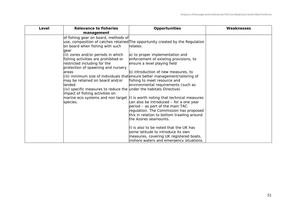| Level | Relevance to fisheries<br>management                                                                                                                                 | <b>Opportunities</b>                                                                                                                                                                                                                                                            | Weaknesses |
|-------|----------------------------------------------------------------------------------------------------------------------------------------------------------------------|---------------------------------------------------------------------------------------------------------------------------------------------------------------------------------------------------------------------------------------------------------------------------------|------------|
|       | of fishing gear on board, methods of<br>on board when fishing with such<br>qear                                                                                      | use, composition of catches retained The opportunity created by the Regulation<br>relates:                                                                                                                                                                                      |            |
|       | (ii) zones and/or periods in which<br>fishing activities are prohibited or<br>restricted including for the<br>protection of spawning and nursery                     | a) to proper implementation and<br>enforcement of existing provisions, to<br>ensure a level playing field                                                                                                                                                                       |            |
|       | <b>areas</b><br>may be retained on board and/or<br>landed<br>$(iv)$ specific measures to reduce the under the habitats Directive)<br>impact of fishing activities on | b) introduction of new measures, to<br>(iii) minimum size of individuals that ensure better management/tailoring of<br>fishing to meet resource and<br>environmental requirements (such as                                                                                      |            |
|       | species.                                                                                                                                                             | marine eco-systems and non target   It is worth noting that technical measures<br>can also be introduced – for a one year<br>period – as part of the main TAC<br>regulation. The Commission has proposed<br>this in relation to bottom trawling around<br>the Azores seamounts. |            |
|       |                                                                                                                                                                      | It is also to be noted that the UK has<br>some latitude to introduce its own<br>measures, covering UK registered boats,<br>inshore waters and emergency situations.                                                                                                             |            |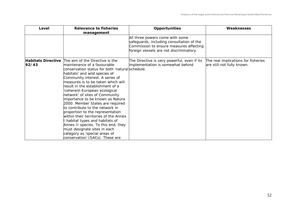| Level | Relevance to fisheries<br>management                                                                                                                                                                                                                                                                                                                                                                                                                                                                                                                                                                                                                                                                                             | <b>Opportunities</b>                                                                                                                                               | Weaknesses                                                        |
|-------|----------------------------------------------------------------------------------------------------------------------------------------------------------------------------------------------------------------------------------------------------------------------------------------------------------------------------------------------------------------------------------------------------------------------------------------------------------------------------------------------------------------------------------------------------------------------------------------------------------------------------------------------------------------------------------------------------------------------------------|--------------------------------------------------------------------------------------------------------------------------------------------------------------------|-------------------------------------------------------------------|
|       |                                                                                                                                                                                                                                                                                                                                                                                                                                                                                                                                                                                                                                                                                                                                  | All three powers come with some<br>safeguards, including consultation of the<br>Commission to ensure measures affecting<br>foreign vessels are not discriminatory. |                                                                   |
| 92/43 | <b>Habitats Directive</b> The aim of the Directive is the<br>maintenance of a favourable<br>conservation status for both 'natural schedule.<br>habitats' and wild species of<br>Community interest. A series of<br>measures is to be taken which will<br>result in the establishment of a<br>'coherent-European ecological<br>network' of sites of Community<br>importance to be known as Natura<br>2000. Member States are required<br>to contribute to the network in<br>proportion to the representation<br>within their territories of the Annex<br>habitat types and habitats of<br>Annex II species. To this end, they<br>must designate sites in each<br>category as 'special areas of<br>conservation' (SACs). These are | The Directive is very powerful, even if its<br>implementation is somewhat behind                                                                                   | The real implications for fisheries<br>are still not fully known. |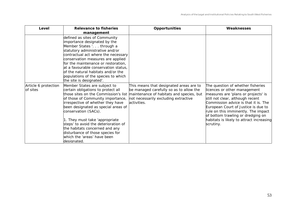| Level                            | <b>Relevance to fisheries</b><br>management                                                                                                                                                                                                                                                                                                                                                                                                        | Opportunities                                                                                                                                                                         | Weaknesses                                                                                                                                                                                                                                                                                                                                                       |
|----------------------------------|----------------------------------------------------------------------------------------------------------------------------------------------------------------------------------------------------------------------------------------------------------------------------------------------------------------------------------------------------------------------------------------------------------------------------------------------------|---------------------------------------------------------------------------------------------------------------------------------------------------------------------------------------|------------------------------------------------------------------------------------------------------------------------------------------------------------------------------------------------------------------------------------------------------------------------------------------------------------------------------------------------------------------|
|                                  | defined as sites of Community<br>importance designated by the<br>Member States '. through a<br>statutory administrative and/or<br>contractual act where the necessary<br>conservation measures are applied<br>for the maintenance or restoration,<br>at a favourable conservation status,<br>of the natural habitats and/or the<br>populations of the species to which<br>the site is designated'.                                                 |                                                                                                                                                                                       |                                                                                                                                                                                                                                                                                                                                                                  |
| Article 6 protection<br>of sites | Member States are subject to<br>certain obligations to protect all<br>those sites on the Commission's list<br>of those of Community importance,<br>irrespective of whether they have<br>been designated as special areas of<br>conservation (SACs).<br>1. They must take 'appropriate<br>steps' to avoid the deterioration of<br>the habitats concerned and any<br>disturbance of those species for<br>which the 'areas' have been<br>ldesianated. | This means that designated areas are to<br>be managed carefully so as to allow the<br>maintenance of habitats and species, but<br>not necessarily excluding extractive<br>activities. | The question of whether fisheries<br>licences or other management<br>measures are 'plans or projects' is<br>still not clear, although recent<br>Commission advice is that it is. The<br>European Court of Justice is due to<br>rule on this imminently. The impact<br>of bottom trawling or dredging on<br>habitats is likely to attract increasing<br>scrutiny. |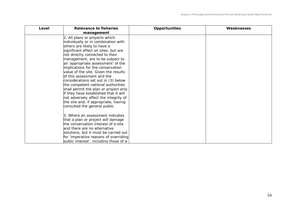| Level | Relevance to fisheries<br>management                                          | <b>Opportunities</b> | Weaknesses |
|-------|-------------------------------------------------------------------------------|----------------------|------------|
|       | 2. All plans or projects which                                                |                      |            |
|       | individually or in combination with                                           |                      |            |
|       | others are likely to have a                                                   |                      |            |
|       | significant effect on sites, but are                                          |                      |            |
|       | not directly connected to their                                               |                      |            |
|       | management, are to be subject to                                              |                      |            |
|       | an 'appropriate assessment' of the                                            |                      |            |
|       | implications for the conservation                                             |                      |            |
|       | value of the site. Given the results                                          |                      |            |
|       | of this assessment and the                                                    |                      |            |
|       | considerations set out in (3) below                                           |                      |            |
|       | the competent national authorities                                            |                      |            |
|       | shall permit the plan or project only                                         |                      |            |
|       | if they have established that it will                                         |                      |            |
|       | not adversely affect the integrity of<br>the site and, if appropriate, having |                      |            |
|       | consulted the general public.                                                 |                      |            |
|       |                                                                               |                      |            |
|       | 3. Where an assessment indicates                                              |                      |            |
|       | that a plan or project will damage                                            |                      |            |
|       | the conservation interest of a site                                           |                      |            |
|       | and there are no alternative                                                  |                      |            |
|       | solutions, but it must be carried out                                         |                      |            |
|       | for 'imperative reasons of overriding                                         |                      |            |
|       | public interest', including those of a                                        |                      |            |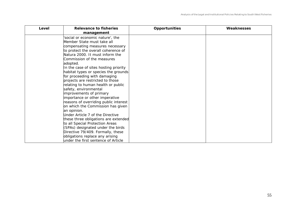| Level | Relevance to fisheries<br>management  | <b>Opportunities</b> | Weaknesses |
|-------|---------------------------------------|----------------------|------------|
|       | 'social or economic nature', the      |                      |            |
|       | Member State must take all            |                      |            |
|       | compensating measures necessary       |                      |            |
|       | to protect the overall coherence of   |                      |            |
|       | Natura 2000. It must inform the       |                      |            |
|       | Commission of the measures            |                      |            |
|       | adopted.                              |                      |            |
|       | In the case of sites hosting priority |                      |            |
|       | habitat types or species the grounds  |                      |            |
|       | for proceeding with damaging          |                      |            |
|       | projects are restricted to those      |                      |            |
|       | relating to human health or public    |                      |            |
|       | safety, environmental                 |                      |            |
|       | improvements of primary               |                      |            |
|       | importance or other imperative        |                      |            |
|       | reasons of overriding public interest |                      |            |
|       | on which the Commission has given     |                      |            |
|       | an opinion.                           |                      |            |
|       | Under Article 7 of the Directive      |                      |            |
|       | these three obligations are extended  |                      |            |
|       | to all Special Protection Areas       |                      |            |
|       | (SPAs) designated under the birds     |                      |            |
|       | Directive 79/409. Formally, these     |                      |            |
|       | obligations replace any arising       |                      |            |
|       | under the first sentence of Article   |                      |            |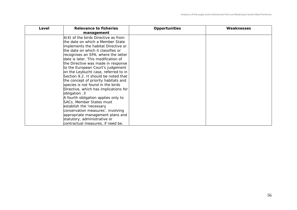| Level | <b>Relevance to fisheries</b><br>management | <b>Opportunities</b> | Weaknesses |
|-------|---------------------------------------------|----------------------|------------|
|       | $4(4)$ of the birds Directive as from       |                      |            |
|       | the date on which a Member State            |                      |            |
|       | implements the habitat Directive or         |                      |            |
|       | the date on which it classifies or          |                      |            |
|       | recognises an SPA, where the latter         |                      |            |
|       | date is later. This modification of         |                      |            |
|       | the Directive was made in response          |                      |            |
|       | to the European Court's judgement           |                      |            |
|       | on the Leybucht case, referred to in        |                      |            |
|       | Section 9.2. It should be noted that        |                      |            |
|       | the concept of priority habitats and        |                      |            |
|       | species is not found in the birds           |                      |            |
|       | Directive, which has implications for       |                      |            |
|       | obligation .3                               |                      |            |
|       | A fourth obligation applies only to         |                      |            |
|       | SACs. Member States must                    |                      |            |
|       | establish the 'necessary                    |                      |            |
|       | conservation measures', involving           |                      |            |
|       | appropriate management plans and            |                      |            |
|       | statutory, administrative or                |                      |            |
|       | contractual measures, if need be.           |                      |            |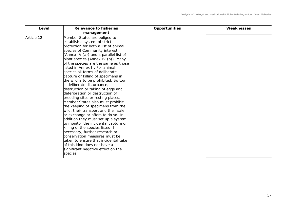| Level      | <b>Relevance to fisheries</b><br>management                                                                                                                                                                                                                                                                                                                                                                                                                                                                                                                                                                                                                                                                                                                                                                                                                                                                                                                                                                                        | <b>Opportunities</b> | Weaknesses |
|------------|------------------------------------------------------------------------------------------------------------------------------------------------------------------------------------------------------------------------------------------------------------------------------------------------------------------------------------------------------------------------------------------------------------------------------------------------------------------------------------------------------------------------------------------------------------------------------------------------------------------------------------------------------------------------------------------------------------------------------------------------------------------------------------------------------------------------------------------------------------------------------------------------------------------------------------------------------------------------------------------------------------------------------------|----------------------|------------|
| Article 12 | Member States are obliged to<br>establish a system of strict<br>protection for both a list of animal<br>species of Community interest<br>(Annex IV (a)) and a parallel list of<br>plant species (Annex IV (b)). Many<br>of the species are the same as those<br>llisted in Annex II. For animal<br>species all forms of deliberate<br>capture or killing of specimens in<br>the wild is to be prohibited. So too<br>is deliberate disturbance,<br>destruction or taking of eggs and<br>deterioration or destruction of<br>breeding sites or resting places.<br>Member States also must prohibit<br>the keeping of specimens from the<br>wild, their transport and their sale<br>or exchange or offers to do so. In<br>addition they must set up a system<br>to monitor the incidental capture or<br>killing of the species listed. If<br>necessary, further research or<br>conservation measures must be<br>taken to ensure that incidental take<br>of this kind does not have a<br>significant negative effect on the<br>species. |                      |            |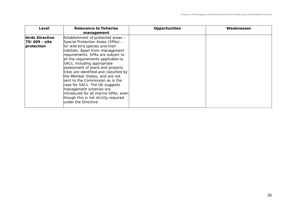| Level                                          | Relevance to fisheries<br>management                                                                                                                                                                                                                                                                                                                                                                                                                                                                                                                                             | <b>Opportunities</b> | Weaknesses |
|------------------------------------------------|----------------------------------------------------------------------------------------------------------------------------------------------------------------------------------------------------------------------------------------------------------------------------------------------------------------------------------------------------------------------------------------------------------------------------------------------------------------------------------------------------------------------------------------------------------------------------------|----------------------|------------|
| birds Directive<br>79/409 - site<br>protection | Establishment of protected areas -<br>Special Protection Areas (SPAs) -<br>for wild bird species and their<br>habitats. Apart from management<br>requirements, SPAs are subject to<br>all the requirements applicable to<br>SACs, including appropriate<br>assessment of plans and projects.<br>Sites are identified and classified by<br>the Member States, and are not<br>sent to the Commission as is the<br>case for SACs. The UK suggests<br>management schemes are<br>introduced for all marine SPAs, even<br>though this is not strictly required<br>under the Directive. |                      |            |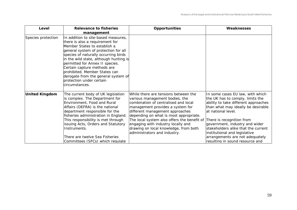| Level                 | Relevance to fisheries<br>management                                                                                                                                                                                                                                                                                                                                                                                     | <b>Opportunities</b>                                                                                                                                                                                                                                                                                                                                                                                                    | Weaknesses                                                                                                                                                                                                                                                                          |
|-----------------------|--------------------------------------------------------------------------------------------------------------------------------------------------------------------------------------------------------------------------------------------------------------------------------------------------------------------------------------------------------------------------------------------------------------------------|-------------------------------------------------------------------------------------------------------------------------------------------------------------------------------------------------------------------------------------------------------------------------------------------------------------------------------------------------------------------------------------------------------------------------|-------------------------------------------------------------------------------------------------------------------------------------------------------------------------------------------------------------------------------------------------------------------------------------|
| Species protection    | In addition to site-based measures,<br>there is also a requirement for<br>Member States to establish a<br>general system of protection for all<br>species of naturally occurring birds<br>in the wild state, although hunting is<br>permitted for Annex II species.<br>Certain capture methods are<br>prohibited. Member States can<br>derogate from the general system of<br>protection under certain<br>circumstances. |                                                                                                                                                                                                                                                                                                                                                                                                                         |                                                                                                                                                                                                                                                                                     |
| <b>United Kingdom</b> | The current body of UK legislation<br>is complex. The Department for<br>Environment, Food and Rural<br>Affairs (DEFRA) is the national<br>department responsible for the<br>fisheries administration in England.<br>This responsibility is met through<br>issuing Acts, Orders and Statutory<br>Instruments.                                                                                                             | While there are tensions between the<br>various management bodies, the<br>combination of centralised and local<br>management provides a system for<br>different management approaches<br>depending on what is most appropriate.<br>The local system also offers the benefit of There is recognition from<br>engaging with industry locally and<br>drawing on local knowledge, from both<br>administrators and industry. | In some cases EU law, with which<br>the UK has to comply, limits the<br>ability to take different approaches<br>than what may ideally be desirable<br>lat national level.<br>government, industry and wider<br>stakeholders alike that the current<br>institutional and legislative |
|                       | There are twelve Sea Fisheries<br>Committees (SFCs) which requlate                                                                                                                                                                                                                                                                                                                                                       |                                                                                                                                                                                                                                                                                                                                                                                                                         | arrangements are not adequately<br>resulting in sound resource and                                                                                                                                                                                                                  |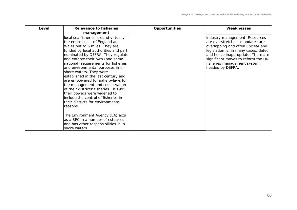| Level | <b>Relevance to fisheries</b><br>management                                                                                                                                                                                                                                                                                                                                                                                                                                                                                                                                                                       | <b>Opportunities</b> | Weaknesses                                                                                                                                                                                                                                                                     |
|-------|-------------------------------------------------------------------------------------------------------------------------------------------------------------------------------------------------------------------------------------------------------------------------------------------------------------------------------------------------------------------------------------------------------------------------------------------------------------------------------------------------------------------------------------------------------------------------------------------------------------------|----------------------|--------------------------------------------------------------------------------------------------------------------------------------------------------------------------------------------------------------------------------------------------------------------------------|
|       | local sea fisheries around virtually<br>the entire coast of England and<br>Wales out to 6 miles. They are<br>funded by local authorities and part<br>nominated by DEFRA. They regulate<br>and enforce their own (and some<br>national) requirements for fisheries<br>and environmental purposes in in-<br>shore waters. They were<br>established in the last century and<br>are empowered to make bylaws for<br>the management and conservation<br>of their districts' fisheries. In 1995<br>their powers were widened to<br>include the control of fisheries in<br>their districts for environmental<br>reasons. |                      | industry management. Resources<br>are overstretched, mandates are<br>overlapping and often unclear and<br>legislation is, in many cases, dated<br>and hence inappropriate. There are<br>significant moves to reform the UK<br>fisheries management system,<br>headed by DEFRA. |
|       | The Environment Agency (EA) acts<br>as a SFC in a number of estuaries<br>and has other responsibilities in in-<br>shore waters.                                                                                                                                                                                                                                                                                                                                                                                                                                                                                   |                      |                                                                                                                                                                                                                                                                                |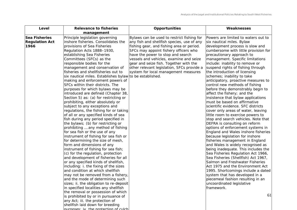| Sea Fisheries<br>Principle legislation governing<br>Bylaws can be used to restrict fishing for<br><b>Regulation Act</b><br>inshore fisheries. Consolidates the<br>any fish and shellfish species, use of any<br>1966<br>provisions of Sea Fisheries<br>fishing gear, and fishing area or period.<br>Regulation Acts 1888-1930,<br>SFCs may appoint fishery officers who<br>establishing Sea Fisheries<br>have the power to stop and search<br>Committees (SFCs) as the<br>vessels and vehicles, examine and seize<br>responsible bodies for the<br>gear and seize fish. Together with the<br>other relevant legislation, SFCs provide a<br>management and conservation of<br>fisheries and shellfisheries out to<br>system for local management measures<br>six nautical miles. Establishes bylaw<br>to be established.<br>making and enforcement powers of<br>SFCs within their districts. The<br>purposes for which bylaws may be<br>introduced are defined (Chapter 38,<br>Section 5) as: (a) for restricting or<br>prohibiting, either absolutely or<br>subject to any exceptions and<br>regulations, the fishing for or taking<br>of all or any specified kinds of sea<br>fish during any period specified in<br>the bylaws; (b) for restricting or<br>prohibiting  any method of fishing<br>for sea fish or the use of any<br>instrument of fishing for sea fish or<br>for determining the size of mesh,<br>form and dimensions of any<br>instrument of fishing for sea fish;<br>(c) for the regulation, protection<br>and development of fisheries for all<br>or any specified kinds of shellfish,<br>including: i. the fixing of the sizes<br>and condition at which shellfish<br>may not be removed from a fishery,<br>and the mode of determining such<br>sizes; ii. the obligation to re-deposit<br>in specified localities any shellfish<br>the removal or possession of which<br>is prohibited by or in pursuance of<br>any Act; iii. the protection of<br>shellfish laid down for breeding | Powers are limited to waters out to<br>six nautical miles. Bylaw<br>development process is slow and<br>cumbersome with little provision for<br>precautionary approach to<br>management. Specific limitations<br>include: inability to remove or<br>suspend rights of fishing through<br>the introduction of licensing<br>schemes; inability to take<br>anticipatory, proactive measures to<br>control new methods of fishing<br>before they demonstrably begin to<br>affect the fishery; and the<br>insistence that bylaw applications<br>must be based on affirmative<br>scientific evidence. SFC districts<br>cover only areas of water, leaving<br>little room to exercise powers to<br>stop and search vehicles. Note that<br>DEFRA is consulting on reform<br>options of enforcement systems in<br>England and Wales inshore fisheries<br>because legislation for inshore<br>fisheries management in England<br>and Wales is widely recognised as<br>being inadequate. This includes the<br>Sea Fisheries Regulation Act 1966,<br>Sea Fisheries (Shellfish) Act 1967,<br>Salmon and Freshwater Fisheries<br>Act 1975 and the Environment Act<br>1995. Shortcomings include a dated<br>system that has developed in a<br>piecemeal fashion resulting in an<br>uncoordinated legislative<br>framework.<br>61 |
|----------------------------------------------------------------------------------------------------------------------------------------------------------------------------------------------------------------------------------------------------------------------------------------------------------------------------------------------------------------------------------------------------------------------------------------------------------------------------------------------------------------------------------------------------------------------------------------------------------------------------------------------------------------------------------------------------------------------------------------------------------------------------------------------------------------------------------------------------------------------------------------------------------------------------------------------------------------------------------------------------------------------------------------------------------------------------------------------------------------------------------------------------------------------------------------------------------------------------------------------------------------------------------------------------------------------------------------------------------------------------------------------------------------------------------------------------------------------------------------------------------------------------------------------------------------------------------------------------------------------------------------------------------------------------------------------------------------------------------------------------------------------------------------------------------------------------------------------------------------------------------------------------------------------------------------------------------------------------------------------------------|-----------------------------------------------------------------------------------------------------------------------------------------------------------------------------------------------------------------------------------------------------------------------------------------------------------------------------------------------------------------------------------------------------------------------------------------------------------------------------------------------------------------------------------------------------------------------------------------------------------------------------------------------------------------------------------------------------------------------------------------------------------------------------------------------------------------------------------------------------------------------------------------------------------------------------------------------------------------------------------------------------------------------------------------------------------------------------------------------------------------------------------------------------------------------------------------------------------------------------------------------------------------------------------------------------------------|

purposes; iv. the protection of culchl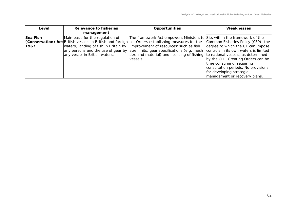| Level            | <b>Relevance to fisheries</b><br>management                                                                | <b>Opportunities</b>                                                                                                                                                                                                                                                                                                                                                                                              | Weaknesses                                                                                                                                                                                                                                                                              |
|------------------|------------------------------------------------------------------------------------------------------------|-------------------------------------------------------------------------------------------------------------------------------------------------------------------------------------------------------------------------------------------------------------------------------------------------------------------------------------------------------------------------------------------------------------------|-----------------------------------------------------------------------------------------------------------------------------------------------------------------------------------------------------------------------------------------------------------------------------------------|
| Sea Fish<br>1967 | Main basis for the regulation of<br>waters, landing of fish in Britain by<br>any vessel in British waters. | The framework Act empowers Ministers to Sits within the framework of the<br><b>(Conservation) Act</b> British vessels in British and foreign set Orders establishing measures for the<br>l'improvement of resources' such as fish<br>any persons and the use of gear by size limits, gear specifications (e.g. mesh<br>size and material) and licensing of fishing to national vessels, as determined<br>vessels. | Common Fisheries Policy (CFP): the<br>degree to which the UK can impose<br>controls in its own waters is limited<br>by the CFP. Creating Orders can be<br>time consuming, requiring<br>consultation periods. No provisions<br>for developing strategic<br>management or recovery plans. |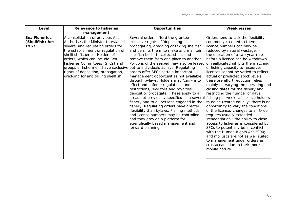| Level                                    | <b>Relevance to fisheries</b><br>management                                                                                                                                                                                                                                                                                             | Opportunities                                                                                                                                                                                                                                                                                                                                                                                                                                                                                                                                                                                                                                                                                                                                                                                                                                                                                                                                                                                                                               | Weaknesses                                                                                                                                                                                                                                                                                                                                                                                                                                                                                                                                                                                                                                                                                                                                                                                                                                                                                                              |
|------------------------------------------|-----------------------------------------------------------------------------------------------------------------------------------------------------------------------------------------------------------------------------------------------------------------------------------------------------------------------------------------|---------------------------------------------------------------------------------------------------------------------------------------------------------------------------------------------------------------------------------------------------------------------------------------------------------------------------------------------------------------------------------------------------------------------------------------------------------------------------------------------------------------------------------------------------------------------------------------------------------------------------------------------------------------------------------------------------------------------------------------------------------------------------------------------------------------------------------------------------------------------------------------------------------------------------------------------------------------------------------------------------------------------------------------------|-------------------------------------------------------------------------------------------------------------------------------------------------------------------------------------------------------------------------------------------------------------------------------------------------------------------------------------------------------------------------------------------------------------------------------------------------------------------------------------------------------------------------------------------------------------------------------------------------------------------------------------------------------------------------------------------------------------------------------------------------------------------------------------------------------------------------------------------------------------------------------------------------------------------------|
| Sea Fisheries<br>(Shellfish) Act<br>1967 | A consolidation of previous Acts.<br>Authorises the Minister to establish<br>several and regulating orders for<br>the establishment or regulation of<br>shellfish fisheries. Holders of<br>orders, which can include Sea<br>Fisheries Committees (SFCs) and<br>rights of deposition, propagation,<br>dredging for and taking shellfish. | Several orders afford the grantee<br>exclusive rights of 'depositing,<br>propagating, dredging or taking shellfish<br>and permits them 'to make and maintain<br>shellfish beds, to collect shells and<br>remove them from one place to another'.<br>Portions of the seabed may also be leased or reallocated inhibits the matching<br>groups of fishermen, have exclusive out to individuals as lays. Regulating<br>orders offer SFCs certain important<br>management opportunities not available<br>through bylaws. Holders may 'carry into<br>effect and enforce regulations and<br>restrictions, levy tolls and royalties,<br>deposit or propagate'. These apply to all<br>areas not previously specified as a several fishing per week; all licence holders<br>fishery and to all persons engaged in the<br>fishery. Regulating orders have greater<br>flexibility than bylaws. Fishing methods<br>and licence numbers may be controlled<br>and they provide a platform for<br>scientifically based management and<br>forward planning. | Orders tend to lack the flexibility<br>commonly credited to them: -<br>licence numbers can only be<br>reduced by natural wastage; -<br>the operation of a two year rule<br>before a licence can be withdrawn<br>of fishing capacity to resources;<br>licences cannot be varied to reflect<br>actual or predicted stock levels<br>therefore effort reduction relies<br>mainly on varying the operating and<br>closing dates for the fishery and<br>restricting the number of days<br>must be treated equally: there is no<br>opportunity to vary the conditions<br>of the licence; changes to an Order<br>requires usually extended<br>'renegotiation'; the ability to close<br>access to fisheries is considered by<br>SFCs to potentially be in conflict<br>with the Human Rights Act 2000;<br>and molluscs are not as well suited<br>to management under orders as<br>crustaceans due to their more<br>mobile nature. |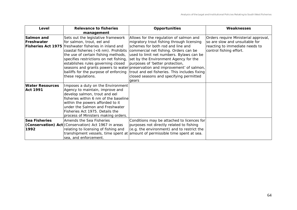| Level                                     | Relevance to fisheries<br>management                                                                                                                                                                                                                                                                                                                           | <b>Opportunities</b>                                                                                                                                                                                                                                                                                                                                                                                                                                                           | Weaknesses                                                                                                                          |
|-------------------------------------------|----------------------------------------------------------------------------------------------------------------------------------------------------------------------------------------------------------------------------------------------------------------------------------------------------------------------------------------------------------------|--------------------------------------------------------------------------------------------------------------------------------------------------------------------------------------------------------------------------------------------------------------------------------------------------------------------------------------------------------------------------------------------------------------------------------------------------------------------------------|-------------------------------------------------------------------------------------------------------------------------------------|
| Salmon and<br>Freshwater                  | Sets out the legislative framework<br>for salmon, trout, eel and<br><b>Fisheries Act 1975</b> freshwater fisheries in inland and<br>coastal fisheries (<6 nm). Prohibits<br>the use of certain fishing methods,<br>specifies restrictions on net fishing,<br>establishes rules governing closed<br>bailiffs for the purpose of enforcing<br>these regulations. | Allows for the regulation of salmon and<br>migratory trout fishing through licensing<br>schemes for both rod and line and<br>commercial net fishing. Orders can be<br>used to limit net numbers. Bylaws can be<br>set by the Environment Agency for the<br>purposes of 'better protection,<br>seasons and grants powers to water preservation and improvement' of salmon,<br>trout and eel fisheries. This includes fixing<br>closed seasons and specifying permitted<br>gears | Orders require Ministerial approval,<br>so are slow and unsuitable for<br>reacting to immediate needs to<br>control fishing effort. |
| <b>Water Resources</b><br><b>Act 1991</b> | Imposes a duty on the Environment<br>Agency to maintain, improve and<br>develop salmon, trout and eel<br>fisheries within 6 nm of the baseline<br>within the powers afforded to it<br>under the Salmon and Freshwater<br>Fisheries Act 1975. Details the<br>process of Ministers making orders.                                                                |                                                                                                                                                                                                                                                                                                                                                                                                                                                                                |                                                                                                                                     |
| Sea Fisheries<br>1992                     | Amends the Sea Fisheries<br>(Conservation) Act (Conservation) Act 1967 in areas<br>relating to licensing of fishing and<br>sea, and enforcement.                                                                                                                                                                                                               | Conditions may be attached to licences for<br>purposes not directly related to fishing<br>(e.g. the environment) and to restrict the<br>transhipment vessels, time spent at amount of permissible time spent at sea.                                                                                                                                                                                                                                                           |                                                                                                                                     |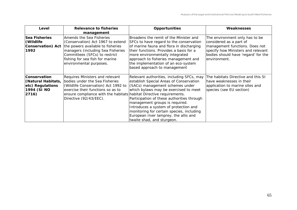| Level                                                                                 | Relevance to fisheries<br>management                                                                                                                                                                                                           | <b>Opportunities</b>                                                                                                                                                                                                                                                                                                                                                                                          | Weaknesses                                                                                                                                                                               |
|---------------------------------------------------------------------------------------|------------------------------------------------------------------------------------------------------------------------------------------------------------------------------------------------------------------------------------------------|---------------------------------------------------------------------------------------------------------------------------------------------------------------------------------------------------------------------------------------------------------------------------------------------------------------------------------------------------------------------------------------------------------------|------------------------------------------------------------------------------------------------------------------------------------------------------------------------------------------|
| <b>Sea Fisheries</b><br>(Wildlife<br>Conservation) Act<br>1992                        | Amends the Sea Fisheries<br>(Conservation) Act 1967 to extend<br>the powers available to fisheries<br>managers (including Sea Fisheries<br>Committees (SFCs) to restrict<br>fishing for sea fish for marine<br>environmental purposes.         | Broadens the remit of the Minister and<br>SFCs to have regard to the conservation<br>of marine fauna and flora in discharging<br>their functions. Provides a basis for a<br>more environmentally integrated<br>approach to fisheries management and<br>the implementation of an eco-system<br>based approach to management                                                                                    | The environment only has to be<br>considered as a part of<br>management functions. Does not<br>specify how Ministers and relevant<br>bodies should have 'regard' for the<br>environment. |
| <b>Conservation</b><br>(Natural Habitats,<br>etc) Regulations<br>1994 (SI NO<br>2716) | Requires Ministers and relevant<br>bodies under the Sea Fisheries<br>(Wildlife Conservation) Act 1992 to<br>exercise their functions so as to<br>ensure compliance with the habitats habitat Directive requirements.<br>Directive (92/43/EEC). | Relevant authorities, including SFCs, may<br>establish Special Areas of Conservation<br>(SACs) management schemes under<br>which bylaws may be exercised to meet<br>Participation of these authorities through<br>management groups is required.<br>Introduces a system of protection and<br>monitoring for certain species, including<br>European river lamprey, the allis and<br>twaite shad, and sturgeon. | The habitats Directive and this SI<br>lhave weaknesses in their<br>application to marine sites and<br>species (see EU section)                                                           |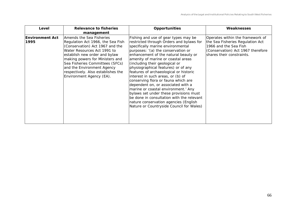| Level                          | <b>Relevance to fisheries</b><br>management                                                                                                                                                                                                                                                                                            | <b>Opportunities</b>                                                                                                                                                                                                                                                                                                                                                                                                                                                                                                                                                                                                                                                                              | Weaknesses                                                                                                                                                      |
|--------------------------------|----------------------------------------------------------------------------------------------------------------------------------------------------------------------------------------------------------------------------------------------------------------------------------------------------------------------------------------|---------------------------------------------------------------------------------------------------------------------------------------------------------------------------------------------------------------------------------------------------------------------------------------------------------------------------------------------------------------------------------------------------------------------------------------------------------------------------------------------------------------------------------------------------------------------------------------------------------------------------------------------------------------------------------------------------|-----------------------------------------------------------------------------------------------------------------------------------------------------------------|
| <b>Environment Act</b><br>1995 | Amends the Sea Fisheries<br>Regulation Act 1966, the Sea Fish<br>(Conservation) Act 1967 and the<br>Water Resources Act 1991 to<br>establish new order and bylaw<br>making powers for Ministers and<br>Sea Fisheries Committees (SFCs)<br>and the Environment Agency<br>respectively. Also establishes the<br>Environment Agency (EA). | Fishing and use of gear types may be<br>restricted through Orders and bylaws for<br>specifically marine environmental<br>purposes: '(a) the conservation or<br>enhancement of the natural beauty or<br>amenity of marine or coastal areas<br>(including their geological or<br>physiographical features) or of any<br>features of archaeological or historic<br>interest in such areas, or (b) of<br>conserving flora or fauna which are<br>dependent on, or associated with a<br>marine or coastal environment.' Any<br>bylaws set under these provisions must<br>be done in consultation with the relevant<br>nature conservation agencies (English<br>Nature or Countryside Council for Wales) | Operates within the framework of<br>the Sea Fisheries Regulation Act<br>1966 and the Sea Fish<br>(Conservation) Act 1967 therefore<br>shares their constraints. |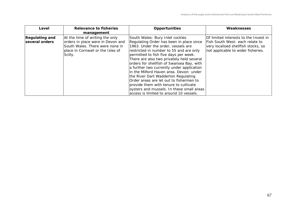| Level                                   | Relevance to fisheries<br>management                                                                                                                    | <b>Opportunities</b>                                                                                                                                                                                                                                                                                                                                                                                                                                                                                                                                                                                       | Weaknesses                                                                                                                                            |
|-----------------------------------------|---------------------------------------------------------------------------------------------------------------------------------------------------------|------------------------------------------------------------------------------------------------------------------------------------------------------------------------------------------------------------------------------------------------------------------------------------------------------------------------------------------------------------------------------------------------------------------------------------------------------------------------------------------------------------------------------------------------------------------------------------------------------------|-------------------------------------------------------------------------------------------------------------------------------------------------------|
| <b>Regulating and</b><br>several orders | At the time of writing the only<br>orders in place were in Devon and<br>South Wales. There were none in<br>place in Cornwall or the Isles of<br>Scilly. | South Wales: Bury Inlet cockles<br>Regulating Order has been in place since<br>1963. Under the order, vessels are<br>restricted in number to 55 and are only<br>permitted to fish five days per week.<br>There are also two privately held several<br>orders for shellfish of Swansea Bay, with<br>a further two currently under application<br>in the Milford Haven area. Devon: under<br>the River Dart Wadderton Regulating<br>Order areas are let out to fishermen to<br>provide them with tenure to cultivate<br>oysters and mussels. In these small areas<br>access is limited to around 10 vessels. | Of limited interests to the Invest in<br>Fish South West: each relate to<br>very localised shellfish stocks, so<br>not applicable to wider fisheries. |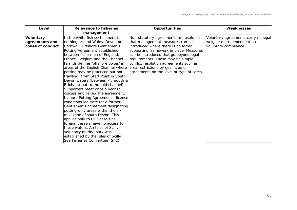| Level                                                  | Relevance to fisheries<br>management                                                                                                                                                                                                                                                                                                                                                                                                                                                                                                                                                                                                                                                                                                                                                                                                                                                                                    | <b>Opportunities</b>                                                                                                                                                                                                                                                                                                                                                   | Weaknesses                                                                                 |
|--------------------------------------------------------|-------------------------------------------------------------------------------------------------------------------------------------------------------------------------------------------------------------------------------------------------------------------------------------------------------------------------------------------------------------------------------------------------------------------------------------------------------------------------------------------------------------------------------------------------------------------------------------------------------------------------------------------------------------------------------------------------------------------------------------------------------------------------------------------------------------------------------------------------------------------------------------------------------------------------|------------------------------------------------------------------------------------------------------------------------------------------------------------------------------------------------------------------------------------------------------------------------------------------------------------------------------------------------------------------------|--------------------------------------------------------------------------------------------|
| <b>Voluntary</b><br>agreements and<br>codes of conduct | In the white fish sector there is<br>nothing around Wales, Devon or<br>Cornwall. Offshore Gentlemen's<br>Potting Agreement established<br>between fishermen of England,<br>France, Belgium and the Channel<br>Islands defines 'offshore boxes' in<br>areas of the English Channel where<br>potting may be practiced but not<br>trawling (from Start Point in South<br>Devon waters (between Plymouth &<br>Brixham) out to the mid channel).<br>Supporters meet once a year to<br>discuss and renew the agreement.<br>Inshore Potting Agreement - licence<br>conditions legislate for a former<br>Gentlemen's agreement designating<br>potting-only areas within the six<br>mile zone of south Devon. This<br>applies only to UK vessels as<br>foreign vessels have no access to<br>these waters. An Isles of Scilly<br>voluntary marine park was<br>established by the Isles of Scilly<br>Sea Fisheries Committee (SFC) | Non-statutory agreements are useful in<br>that management measures can be<br>introduced where there is no formal<br>supporting framework in place. Measures<br>can be introduced that go beyond legal<br>requirements. These may be simple<br>conflict resolution agreements such as<br>area restrictions by gear type or<br>agreements on the level or type of catch. | Voluntary agreements carry no legal<br>weight so are dependent on<br>voluntary compliance. |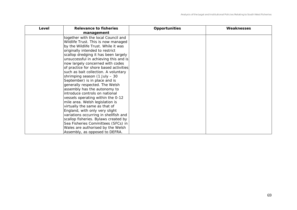| Level | Relevance to fisheries<br>management   | <b>Opportunities</b> | Weaknesses |
|-------|----------------------------------------|----------------------|------------|
|       | together with the local Council and    |                      |            |
|       | Wildlife Trust. This is now managed    |                      |            |
|       | by the Wildlife Trust. While it was    |                      |            |
|       | originally intended to restrict        |                      |            |
|       | scallop dredging it has been largely   |                      |            |
|       | unsuccessful in achieving this and is  |                      |            |
|       | now largely concerned with codes       |                      |            |
|       | of practice for shore based activities |                      |            |
|       | such as bait collection. A voluntary   |                      |            |
|       | shrimping season $(1$ July - 30        |                      |            |
|       | September) is in place and is          |                      |            |
|       | generally respected. The Welsh         |                      |            |
|       | assembly has the autonomy to           |                      |            |
|       | introduce controls on national         |                      |            |
|       | vessels operating within the 0-12      |                      |            |
|       | mile area. Welsh legislation is        |                      |            |
|       | virtually the same as that of          |                      |            |
|       | England, with only very slight         |                      |            |
|       | variations occurring in shellfish and  |                      |            |
|       | scallop fisheries. Bylaws created by   |                      |            |
|       | Sea Fisheries Committees (SFCs) in     |                      |            |
|       | Wales are authorised by the Welsh      |                      |            |
|       | Assembly, as opposed to DEFRA.         |                      |            |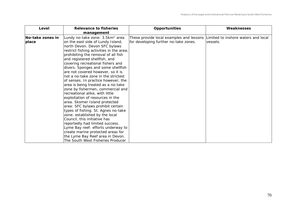| Level                     | Relevance to fisheries<br>management                                                                                                                                                                                                                                                                                                                                                                                                                                                                                                                                                                                                                                                                                                                                                                                                                                                                                                                        | <b>Opportunities</b>                                                                                                  | Weaknesses |
|---------------------------|-------------------------------------------------------------------------------------------------------------------------------------------------------------------------------------------------------------------------------------------------------------------------------------------------------------------------------------------------------------------------------------------------------------------------------------------------------------------------------------------------------------------------------------------------------------------------------------------------------------------------------------------------------------------------------------------------------------------------------------------------------------------------------------------------------------------------------------------------------------------------------------------------------------------------------------------------------------|-----------------------------------------------------------------------------------------------------------------------|------------|
| No-take zones in<br>place | Lundy no-take zone: 3.5km <sup>2</sup> area<br>on the east side of Lundy Island,<br>north Devon. Devon SFC bylaws<br>restrict fishing activities in the area,<br>prohibiting the removal of all fish<br>and registered shellfish, and<br>covering recreational fishers and<br>divers. Sponges and some shellfish<br>are not covered however, so it is<br>not a no-take zone in the strictest<br>of senses. In practice however, the<br>area is being treated as a no-take<br>zone by fishermen, commercial and<br>recreational alike, with little<br>exploitation of resources in the<br>area. Skomer Island protected<br>area: SFC bylaws prohibit certain<br>types of fishing. St. Agnes no-take<br>zone: established by the local<br>Council, this initiative has<br>reportedly had limited success.<br>Lyme Bay reef: efforts underway to<br>create marine protected areas for<br>the Lyme Bay Reef area in Devon.<br>The South West Fisheries Producer | These provide local examples and lessons Limited to inshore waters and local<br>for developing further no-take zones. | lvessels.  |